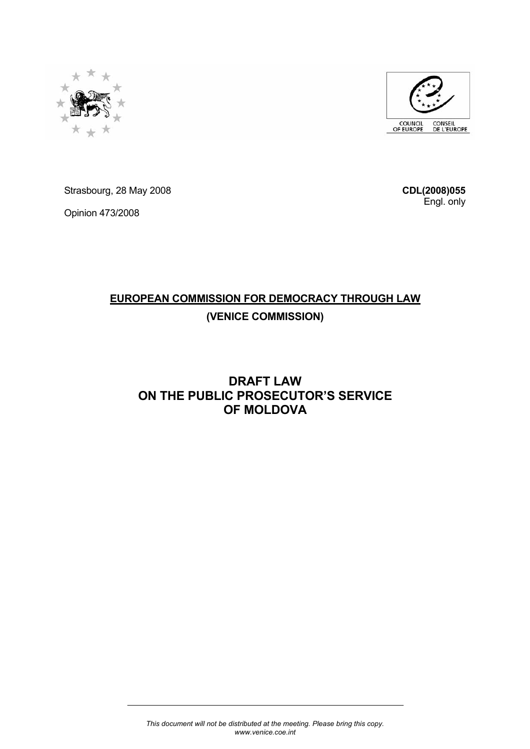



Strasbourg, 28 May 2008

Opinion 473/2008

**CDL(2008)055** Engl. only

# **EUROPEAN COMMISSION FOR DEMOCRACY THROUGH LAW (VENICE COMMISSION)**

# **DRAFT LAW ON THE PUBLIC PROSECUTOR'S SERVICE OF MOLDOVA**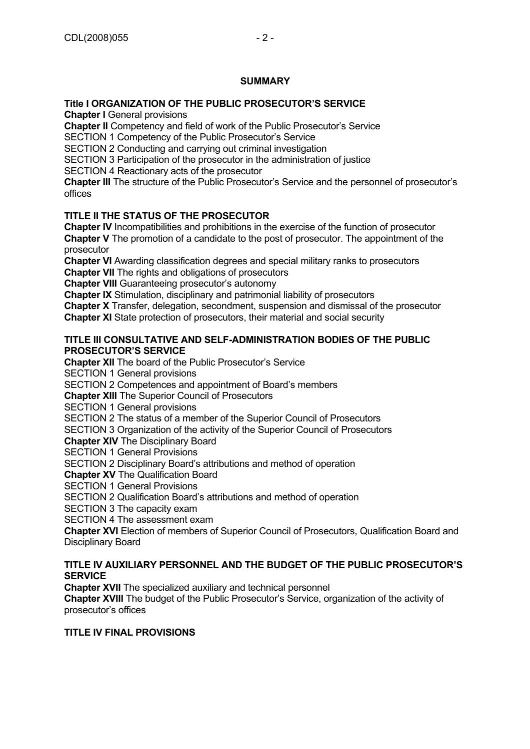# **Title I ORGANIZATION OF THE PUBLIC PROSECUTOR'S SERVICE**

**Chapter I** General provisions

**Chapter II** Competency and field of work of the Public Prosecutor's Service SECTION 1 Competency of the Public Prosecutor's Service

SECTION 2 Conducting and carrying out criminal investigation

SECTION 3 Participation of the prosecutor in the administration of justice

SECTION 4 Reactionary acts of the prosecutor

**Chapter III** The structure of the Public Prosecutor's Service and the personnel of prosecutor's offices

# **TITLE II THE STATUS OF THE PROSECUTOR**

**Chapter IV** Incompatibilities and prohibitions in the exercise of the function of prosecutor **Chapter V** The promotion of a candidate to the post of prosecutor. The appointment of the prosecutor

**Chapter VI** Awarding classification degrees and special military ranks to prosecutors

**Chapter VII** The rights and obligations of prosecutors

**Chapter VIII** Guaranteeing prosecutor's autonomy

**Chapter IX** Stimulation, disciplinary and patrimonial liability of prosecutors

**Chapter X** Transfer, delegation, secondment, suspension and dismissal of the prosecutor

**Chapter XI** State protection of prosecutors, their material and social security

## **TITLE III CONSULTATIVE AND SELF-ADMINISTRATION BODIES OF THE PUBLIC PROSECUTOR'S SERVICE**

**Chapter XII** The board of the Public Prosecutor's Service

SECTION 1 General provisions

SECTION 2 Competences and appointment of Board's members

**Chapter XIII** The Superior Council of Prosecutors

SECTION 1 General provisions

SECTION 2 The status of a member of the Superior Council of Prosecutors

SECTION 3 Organization of the activity of the Superior Council of Prosecutors

**Chapter XIV** The Disciplinary Board

SECTION 1 General Provisions

SECTION 2 Disciplinary Board's attributions and method of operation

**Chapter XV** The Qualification Board

SECTION 1 General Provisions

SECTION 2 Qualification Board's attributions and method of operation

SECTION 3 The capacity exam

SECTION 4 The assessment exam

**Chapter XVI** Election of members of Superior Council of Prosecutors, Qualification Board and Disciplinary Board

## **TITLE IV AUXILIARY PERSONNEL AND THE BUDGET OF THE PUBLIC PROSECUTOR'S SERVICE**

**Chapter XVII** The specialized auxiliary and technical personnel

**Chapter XVIII** The budget of the Public Prosecutor's Service, organization of the activity of prosecutor's offices

## **TITLE IV FINAL PROVISIONS**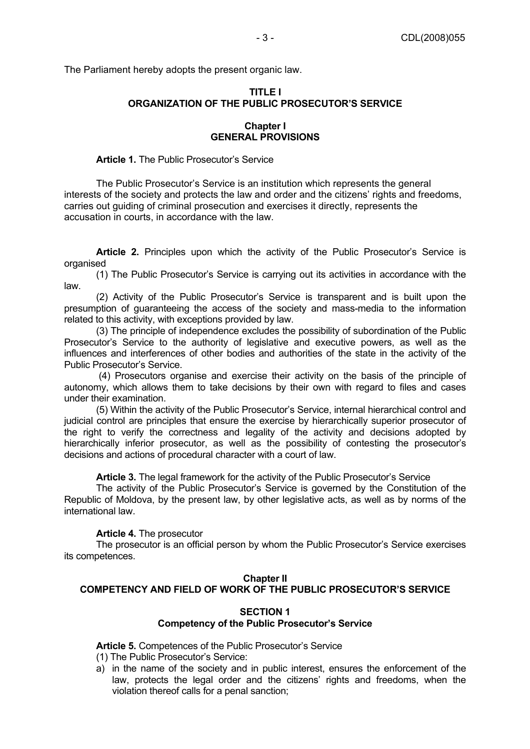The Parliament hereby adopts the present organic law.

## **TITLE I ORGANIZATION OF THE PUBLIC PROSECUTOR'S SERVICE**

#### **Chapter I GENERAL PROVISIONS**

#### **Article 1.** The Public Prosecutor's Service

The Public Prosecutor's Service is an institution which represents the general interests of the society and protects the law and order and the citizens' rights and freedoms, carries out guiding of criminal prosecution and exercises it directly, represents the accusation in courts, in accordance with the law.

**Article 2.** Principles upon which the activity of the Public Prosecutor's Service is organised

(1) The Public Prosecutor's Service is carrying out its activities in accordance with the law.

(2) Activity of the Public Prosecutor's Service is transparent and is built upon the presumption of guaranteeing the access of the society and mass-media to the information related to this activity, with exceptions provided by law.

(3) The principle of independence excludes the possibility of subordination of the Public Prosecutor's Service to the authority of legislative and executive powers, as well as the influences and interferences of other bodies and authorities of the state in the activity of the Public Prosecutor's Service.

 (4) Prosecutors organise and exercise their activity on the basis of the principle of autonomy, which allows them to take decisions by their own with regard to files and cases under their examination.

(5) Within the activity of the Public Prosecutor's Service, internal hierarchical control and judicial control are principles that ensure the exercise by hierarchically superior prosecutor of the right to verify the correctness and legality of the activity and decisions adopted by hierarchically inferior prosecutor, as well as the possibility of contesting the prosecutor's decisions and actions of procedural character with a court of law.

**Article 3.** The legal framework for the activity of the Public Prosecutor's Service

The activity of the Public Prosecutor's Service is governed by the Constitution of the Republic of Moldova, by the present law, by other legislative acts, as well as by norms of the international law.

## **Article 4.** The prosecutor

The prosecutor is an official person by whom the Public Prosecutor's Service exercises its competences.

#### **Chapter II**

## **COMPETENCY AND FIELD OF WORK OF THE PUBLIC PROSECUTOR'S SERVICE**

#### **SECTION 1 Competency of the Public Prosecutor's Service**

**Article 5.** Competences of the Public Prosecutor's Service

- (1) The Public Prosecutor's Service:
- a) in the name of the society and in public interest, ensures the enforcement of the law, protects the legal order and the citizens' rights and freedoms, when the violation thereof calls for a penal sanction;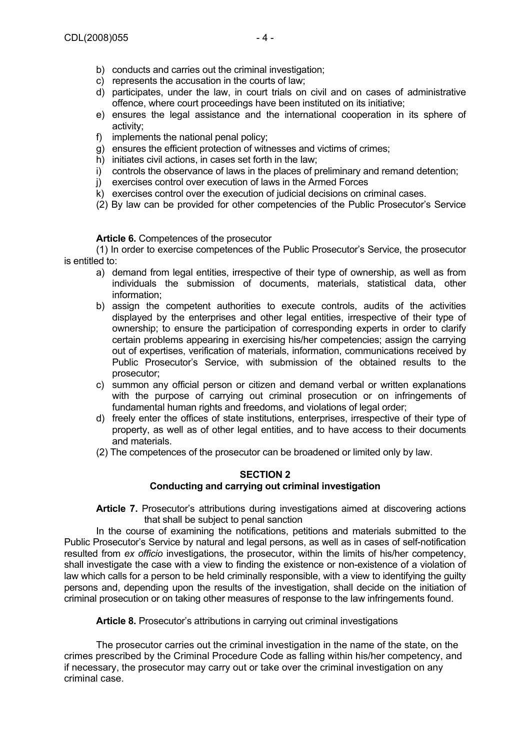- b) conducts and carries out the criminal investigation;
- c) represents the accusation in the courts of law;
- d) participates, under the law, in court trials on civil and on cases of administrative offence, where court proceedings have been instituted on its initiative;
- e) ensures the legal assistance and the international cooperation in its sphere of activity;
- f) implements the national penal policy;
- g) ensures the efficient protection of witnesses and victims of crimes;
- h) initiates civil actions, in cases set forth in the law;
- i) controls the observance of laws in the places of preliminary and remand detention;
- j) exercises control over execution of laws in the Armed Forces
- k) exercises control over the execution of judicial decisions on criminal cases.
- (2) By law can be provided for other competencies of the Public Prosecutor's Service

#### **Article 6.** Competences of the prosecutor

(1) In order to exercise competences of the Public Prosecutor's Service, the prosecutor is entitled to:

- a) demand from legal entities, irrespective of their type of ownership, as well as from individuals the submission of documents, materials, statistical data, other information;
- b) assign the competent authorities to execute controls, audits of the activities displayed by the enterprises and other legal entities, irrespective of their type of ownership; to ensure the participation of corresponding experts in order to clarify certain problems appearing in exercising his/her competencies; assign the carrying out of expertises, verification of materials, information, communications received by Public Prosecutor's Service, with submission of the obtained results to the prosecutor;
- c) summon any official person or citizen and demand verbal or written explanations with the purpose of carrying out criminal prosecution or on infringements of fundamental human rights and freedoms, and violations of legal order;
- d) freely enter the offices of state institutions, enterprises, irrespective of their type of property, as well as of other legal entities, and to have access to their documents and materials.
- (2) The competences of the prosecutor can be broadened or limited only by law.

## **SECTION 2 Conducting and carrying out criminal investigation**

**Article 7.** Prosecutor's attributions during investigations aimed at discovering actions that shall be subject to penal sanction

In the course of examining the notifications, petitions and materials submitted to the Public Prosecutor's Service by natural and legal persons, as well as in cases of self-notification resulted from *ex officio* investigations, the prosecutor, within the limits of his/her competency, shall investigate the case with a view to finding the existence or non-existence of a violation of law which calls for a person to be held criminally responsible, with a view to identifying the guilty persons and, depending upon the results of the investigation, shall decide on the initiation of criminal prosecution or on taking other measures of response to the law infringements found.

**Article 8.** Prosecutor's attributions in carrying out criminal investigations

The prosecutor carries out the criminal investigation in the name of the state, on the crimes prescribed by the Criminal Procedure Code as falling within his/her competency, and if necessary, the prosecutor may carry out or take over the criminal investigation on any criminal case.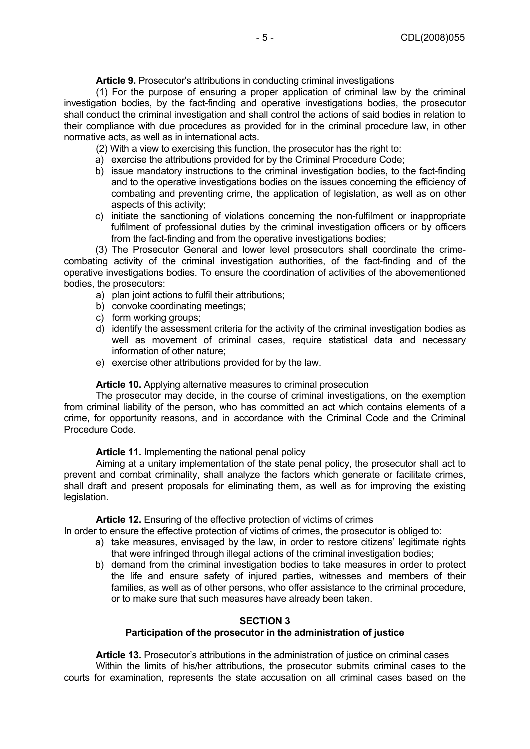**Article 9.** Prosecutor's attributions in conducting criminal investigations

(1) For the purpose of ensuring a proper application of criminal law by the criminal investigation bodies, by the fact-finding and operative investigations bodies, the prosecutor shall conduct the criminal investigation and shall control the actions of said bodies in relation to their compliance with due procedures as provided for in the criminal procedure law, in other normative acts, as well as in international acts.

- (2) With a view to exercising this function, the prosecutor has the right to:
- a) exercise the attributions provided for by the Criminal Procedure Code;
- b) issue mandatory instructions to the criminal investigation bodies, to the fact-finding and to the operative investigations bodies on the issues concerning the efficiency of combating and preventing crime, the application of legislation, as well as on other aspects of this activity;
- c) initiate the sanctioning of violations concerning the non-fulfilment or inappropriate fulfilment of professional duties by the criminal investigation officers or by officers from the fact-finding and from the operative investigations bodies;

 (3) The Prosecutor General and lower level prosecutors shall coordinate the crimecombating activity of the criminal investigation authorities, of the fact-finding and of the operative investigations bodies. To ensure the coordination of activities of the abovementioned bodies, the prosecutors:

- a) plan joint actions to fulfil their attributions;
- b) convoke coordinating meetings;
- c) form working groups;
- d) identify the assessment criteria for the activity of the criminal investigation bodies as well as movement of criminal cases, require statistical data and necessary information of other nature;
- e) exercise other attributions provided for by the law.

#### **Article 10.** Applying alternative measures to criminal prosecution

The prosecutor may decide, in the course of criminal investigations, on the exemption from criminal liability of the person, who has committed an act which contains elements of a crime, for opportunity reasons, and in accordance with the Criminal Code and the Criminal Procedure Code.

**Article 11.** Implementing the national penal policy

Aiming at a unitary implementation of the state penal policy, the prosecutor shall act to prevent and combat criminality, shall analyze the factors which generate or facilitate crimes, shall draft and present proposals for eliminating them, as well as for improving the existing legislation.

**Article 12.** Ensuring of the effective protection of victims of crimes

In order to ensure the effective protection of victims of crimes, the prosecutor is obliged to:

- a) take measures, envisaged by the law, in order to restore citizens' legitimate rights that were infringed through illegal actions of the criminal investigation bodies;
- b) demand from the criminal investigation bodies to take measures in order to protect the life and ensure safety of injured parties, witnesses and members of their families, as well as of other persons, who offer assistance to the criminal procedure, or to make sure that such measures have already been taken.

## **SECTION 3**

## **Participation of the prosecutor in the administration of justice**

**Article 13.** Prosecutor's attributions in the administration of justice on criminal cases Within the limits of his/her attributions, the prosecutor submits criminal cases to the courts for examination, represents the state accusation on all criminal cases based on the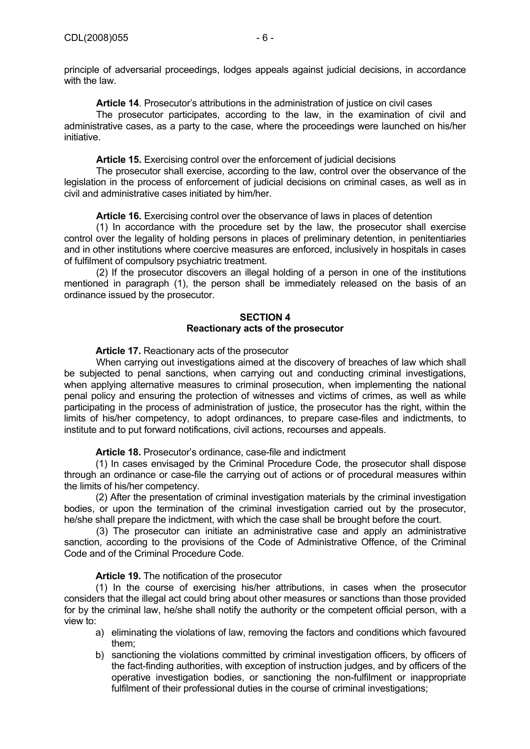principle of adversarial proceedings, lodges appeals against judicial decisions, in accordance with the law.

**Article 14**. Prosecutor's attributions in the administration of justice on civil cases

The prosecutor participates, according to the law, in the examination of civil and administrative cases, as a party to the case, where the proceedings were launched on his/her initiative.

**Article 15.** Exercising control over the enforcement of judicial decisions

The prosecutor shall exercise, according to the law, control over the observance of the legislation in the process of enforcement of judicial decisions on criminal cases, as well as in civil and administrative cases initiated by him/her.

**Article 16.** Exercising control over the observance of laws in places of detention

(1) In accordance with the procedure set by the law, the prosecutor shall exercise control over the legality of holding persons in places of preliminary detention, in penitentiaries and in other institutions where coercive measures are enforced, inclusively in hospitals in cases of fulfilment of compulsory psychiatric treatment.

(2) If the prosecutor discovers an illegal holding of a person in one of the institutions mentioned in paragraph (1), the person shall be immediately released on the basis of an ordinance issued by the prosecutor.

## **SECTION 4 Reactionary acts of the prosecutor**

## **Article 17.** Reactionary acts of the prosecutor

When carrying out investigations aimed at the discovery of breaches of law which shall be subjected to penal sanctions, when carrying out and conducting criminal investigations, when applying alternative measures to criminal prosecution, when implementing the national penal policy and ensuring the protection of witnesses and victims of crimes, as well as while participating in the process of administration of justice, the prosecutor has the right, within the limits of his/her competency, to adopt ordinances, to prepare case-files and indictments, to institute and to put forward notifications, civil actions, recourses and appeals.

**Article 18.** Prosecutor's ordinance, case-file and indictment

 (1) In cases envisaged by the Criminal Procedure Code, the prosecutor shall dispose through an ordinance or case-file the carrying out of actions or of procedural measures within the limits of his/her competency.

 (2) After the presentation of criminal investigation materials by the criminal investigation bodies, or upon the termination of the criminal investigation carried out by the prosecutor, he/she shall prepare the indictment, with which the case shall be brought before the court.

(3) The prosecutor can initiate an administrative case and apply an administrative sanction, according to the provisions of the Code of Administrative Offence, of the Criminal Code and of the Criminal Procedure Code.

**Article 19.** The notification of the prosecutor

 (1) In the course of exercising his/her attributions, in cases when the prosecutor considers that the illegal act could bring about other measures or sanctions than those provided for by the criminal law, he/she shall notify the authority or the competent official person, with a view to:

- a) eliminating the violations of law, removing the factors and conditions which favoured them;
- b) sanctioning the violations committed by criminal investigation officers, by officers of the fact-finding authorities, with exception of instruction judges, and by officers of the operative investigation bodies, or sanctioning the non-fulfilment or inappropriate fulfilment of their professional duties in the course of criminal investigations: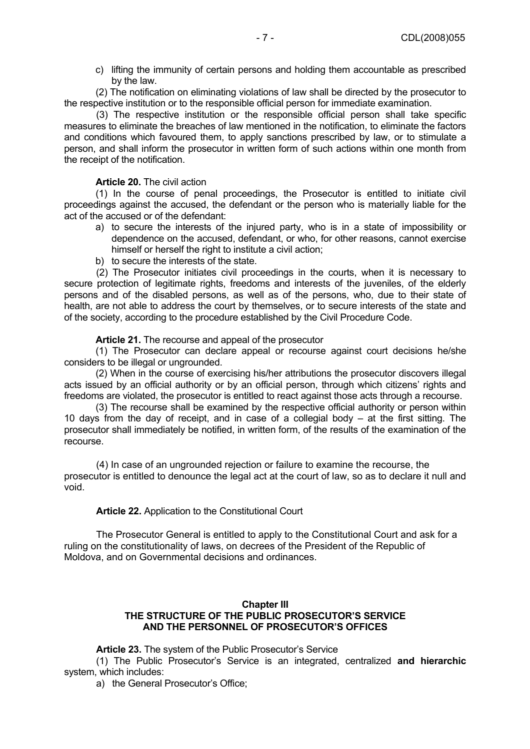c) lifting the immunity of certain persons and holding them accountable as prescribed by the law.

 (2) The notification on eliminating violations of law shall be directed by the prosecutor to the respective institution or to the responsible official person for immediate examination.

(3) The respective institution or the responsible official person shall take specific measures to eliminate the breaches of law mentioned in the notification, to eliminate the factors and conditions which favoured them, to apply sanctions prescribed by law, or to stimulate a person, and shall inform the prosecutor in written form of such actions within one month from the receipt of the notification.

#### **Article 20.** The civil action

 (1) In the course of penal proceedings, the Prosecutor is entitled to initiate civil proceedings against the accused, the defendant or the person who is materially liable for the act of the accused or of the defendant:

- a) to secure the interests of the injured party, who is in a state of impossibility or dependence on the accused, defendant, or who, for other reasons, cannot exercise himself or herself the right to institute a civil action:
- b) to secure the interests of the state.

(2) The Prosecutor initiates civil proceedings in the courts, when it is necessary to secure protection of legitimate rights, freedoms and interests of the juveniles, of the elderly persons and of the disabled persons, as well as of the persons, who, due to their state of health, are not able to address the court by themselves, or to secure interests of the state and of the society, according to the procedure established by the Civil Procedure Code.

**Article 21.** The recourse and appeal of the prosecutor

 (1) The Prosecutor can declare appeal or recourse against court decisions he/she considers to be illegal or ungrounded.

(2) When in the course of exercising his/her attributions the prosecutor discovers illegal acts issued by an official authority or by an official person, through which citizens' rights and freedoms are violated, the prosecutor is entitled to react against those acts through a recourse.

 (3) The recourse shall be examined by the respective official authority or person within 10 days from the day of receipt, and in case of a collegial body – at the first sitting. The prosecutor shall immediately be notified, in written form, of the results of the examination of the recourse.

(4) In case of an ungrounded rejection or failure to examine the recourse, the prosecutor is entitled to denounce the legal act at the court of law, so as to declare it null and void.

#### **Article 22.** Application to the Constitutional Court

The Prosecutor General is entitled to apply to the Constitutional Court and ask for a ruling on the constitutionality of laws, on decrees of the President of the Republic of Moldova, and on Governmental decisions and ordinances.

## **Chapter III THE STRUCTURE OF THE PUBLIC PROSECUTOR'S SERVICE AND THE PERSONNEL OF PROSECUTOR'S OFFICES**

**Article 23.** The system of the Public Prosecutor's Service

(1) The Public Prosecutor's Service is an integrated, centralized **and hierarchic**  system, which includes:

a) the General Prosecutor's Office;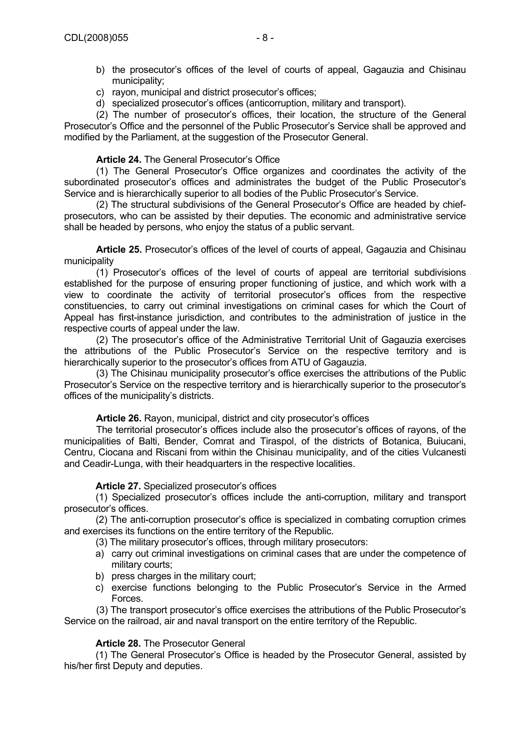- c) rayon, municipal and district prosecutor's offices;
- d) specialized prosecutor's offices (anticorruption, military and transport).

(2) The number of prosecutor's offices, their location, the structure of the General Prosecutor's Office and the personnel of the Public Prosecutor's Service shall be approved and modified by the Parliament, at the suggestion of the Prosecutor General.

## **Article 24.** The General Prosecutor's Office

(1) The General Prosecutor's Office organizes and coordinates the activity of the subordinated prosecutor's offices and administrates the budget of the Public Prosecutor's Service and is hierarchically superior to all bodies of the Public Prosecutor's Service.

(2) The structural subdivisions of the General Prosecutor's Office are headed by chiefprosecutors, who can be assisted by their deputies. The economic and administrative service shall be headed by persons, who enjoy the status of a public servant.

**Article 25.** Prosecutor's offices of the level of courts of appeal, Gagauzia and Chisinau municipality

(1) Prosecutor's offices of the level of courts of appeal are territorial subdivisions established for the purpose of ensuring proper functioning of justice, and which work with a view to coordinate the activity of territorial prosecutor's offices from the respective constituencies, to carry out criminal investigations on criminal cases for which the Court of Appeal has first-instance jurisdiction, and contributes to the administration of justice in the respective courts of appeal under the law.

(2) The prosecutor's office of the Administrative Territorial Unit of Gagauzia exercises the attributions of the Public Prosecutor's Service on the respective territory and is hierarchically superior to the prosecutor's offices from ATU of Gagauzia.

(3) The Chisinau municipality prosecutor's office exercises the attributions of the Public Prosecutor's Service on the respective territory and is hierarchically superior to the prosecutor's offices of the municipality's districts.

#### **Article 26.** Rayon, municipal, district and city prosecutor's offices

The territorial prosecutor's offices include also the prosecutor's offices of rayons, of the municipalities of Balti, Bender, Comrat and Tiraspol, of the districts of Botanica, Buiucani, Centru, Ciocana and Riscani from within the Chisinau municipality, and of the cities Vulcanesti and Ceadir-Lunga, with their headquarters in the respective localities.

## **Article 27.** Specialized prosecutor's offices

 (1) Specialized prosecutor's offices include the anti-corruption, military and transport prosecutor's offices.

 (2) The anti-corruption prosecutor's office is specialized in combating corruption crimes and exercises its functions on the entire territory of the Republic.

- (3) The military prosecutor's offices, through military prosecutors:
- a) carry out criminal investigations on criminal cases that are under the competence of military courts;
- b) press charges in the military court;
- c) exercise functions belonging to the Public Prosecutor's Service in the Armed Forces.

(3) The transport prosecutor's office exercises the attributions of the Public Prosecutor's Service on the railroad, air and naval transport on the entire territory of the Republic.

#### **Article 28.** The Prosecutor General

 (1) The General Prosecutor's Office is headed by the Prosecutor General, assisted by his/her first Deputy and deputies.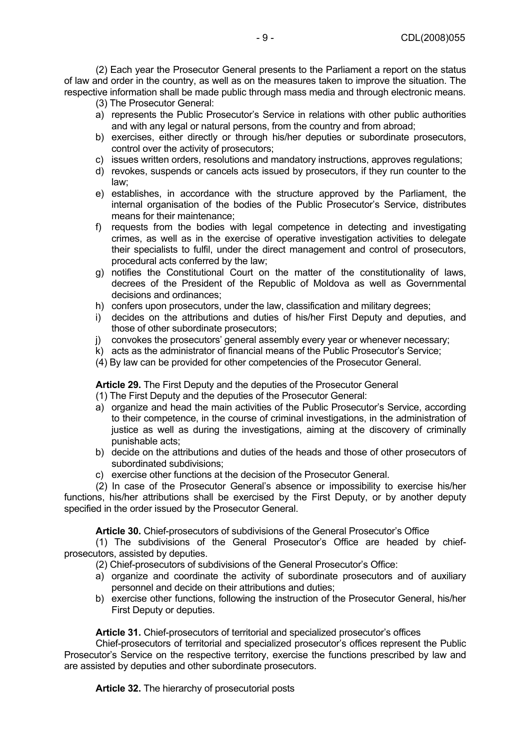(2) Each year the Prosecutor General presents to the Parliament a report on the status of law and order in the country, as well as on the measures taken to improve the situation. The respective information shall be made public through mass media and through electronic means.

- (3) The Prosecutor General:
- a) represents the Public Prosecutor's Service in relations with other public authorities and with any legal or natural persons, from the country and from abroad;
- b) exercises, either directly or through his/her deputies or subordinate prosecutors, control over the activity of prosecutors;
- c) issues written orders, resolutions and mandatory instructions, approves regulations;
- d) revokes, suspends or cancels acts issued by prosecutors, if they run counter to the law;
- e) establishes, in accordance with the structure approved by the Parliament, the internal organisation of the bodies of the Public Prosecutor's Service, distributes means for their maintenance;
- f) requests from the bodies with legal competence in detecting and investigating crimes, as well as in the exercise of operative investigation activities to delegate their specialists to fulfil, under the direct management and control of prosecutors, procedural acts conferred by the law;
- g) notifies the Constitutional Court on the matter of the constitutionality of laws, decrees of the President of the Republic of Moldova as well as Governmental decisions and ordinances;
- h) confers upon prosecutors, under the law, classification and military degrees;
- i) decides on the attributions and duties of his/her First Deputy and deputies, and those of other subordinate prosecutors;
- j) convokes the prosecutors' general assembly every year or whenever necessary;
- k) acts as the administrator of financial means of the Public Prosecutor's Service;
- (4) By law can be provided for other competencies of the Prosecutor General.

**Article 29.** The First Deputy and the deputies of the Prosecutor General

- (1) The First Deputy and the deputies of the Prosecutor General:
- a) organize and head the main activities of the Public Prosecutor's Service, according to their competence, in the course of criminal investigations, in the administration of justice as well as during the investigations, aiming at the discovery of criminally punishable acts;
- b) decide on the attributions and duties of the heads and those of other prosecutors of subordinated subdivisions;
- c) exercise other functions at the decision of the Prosecutor General.

 (2) In case of the Prosecutor General's absence or impossibility to exercise his/her functions, his/her attributions shall be exercised by the First Deputy, or by another deputy specified in the order issued by the Prosecutor General.

**Article 30.** Chief-prosecutors of subdivisions of the General Prosecutor's Office

 (1) The subdivisions of the General Prosecutor's Office are headed by chiefprosecutors, assisted by deputies.

(2) Chief-prosecutors of subdivisions of the General Prosecutor's Office:

- a) organize and coordinate the activity of subordinate prosecutors and of auxiliary personnel and decide on their attributions and duties;
- b) exercise other functions, following the instruction of the Prosecutor General, his/her First Deputy or deputies.

#### **Article 31.** Chief-prosecutors of territorial and specialized prosecutor's offices

 Chief-prosecutors of territorial and specialized prosecutor's offices represent the Public Prosecutor's Service on the respective territory, exercise the functions prescribed by law and are assisted by deputies and other subordinate prosecutors.

**Article 32.** The hierarchy of prosecutorial posts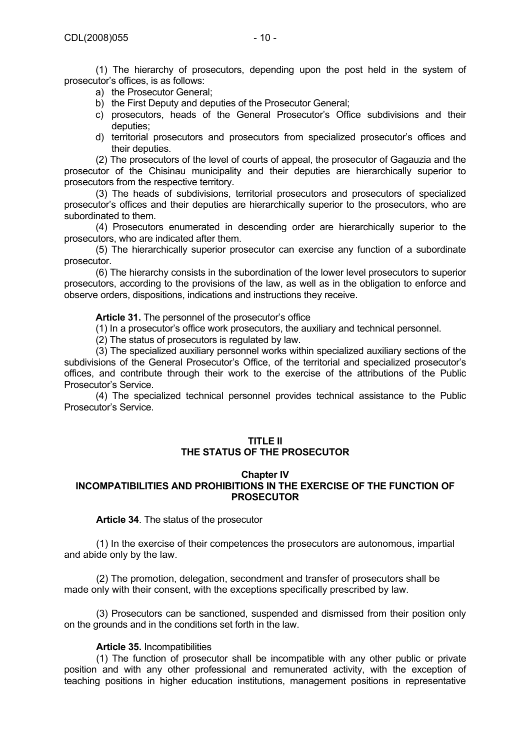(1) The hierarchy of prosecutors, depending upon the post held in the system of prosecutor's offices, is as follows:

- a) the Prosecutor General;
- b) the First Deputy and deputies of the Prosecutor General;
- c) prosecutors, heads of the General Prosecutor's Office subdivisions and their deputies;
- d) territorial prosecutors and prosecutors from specialized prosecutor's offices and their deputies.

 (2) The prosecutors of the level of courts of appeal, the prosecutor of Gagauzia and the prosecutor of the Chisinau municipality and their deputies are hierarchically superior to prosecutors from the respective territory.

 (3) The heads of subdivisions, territorial prosecutors and prosecutors of specialized prosecutor's offices and their deputies are hierarchically superior to the prosecutors, who are subordinated to them.

 (4) Prosecutors enumerated in descending order are hierarchically superior to the prosecutors, who are indicated after them.

 (5) The hierarchically superior prosecutor can exercise any function of a subordinate prosecutor.

 (6) The hierarchy consists in the subordination of the lower level prosecutors to superior prosecutors, according to the provisions of the law, as well as in the obligation to enforce and observe orders, dispositions, indications and instructions they receive.

**Article 31.** The personnel of the prosecutor's office

(1) In a prosecutor's office work prosecutors, the auxiliary and technical personnel.

(2) The status of prosecutors is regulated by law.

 (3) The specialized auxiliary personnel works within specialized auxiliary sections of the subdivisions of the General Prosecutor's Office, of the territorial and specialized prosecutor's offices, and contribute through their work to the exercise of the attributions of the Public Prosecutor's Service.

 (4) The specialized technical personnel provides technical assistance to the Public Prosecutor's Service.

## **TITLE II THE STATUS OF THE PROSECUTOR**

#### **Chapter IV INCOMPATIBILITIES AND PROHIBITIONS IN THE EXERCISE OF THE FUNCTION OF PROSECUTOR**

**Article 34**. The status of the prosecutor

(1) In the exercise of their competences the prosecutors are autonomous, impartial and abide only by the law.

(2) The promotion, delegation, secondment and transfer of prosecutors shall be made only with their consent, with the exceptions specifically prescribed by law.

(3) Prosecutors can be sanctioned, suspended and dismissed from their position only on the grounds and in the conditions set forth in the law.

#### **Article 35.** Incompatibilities

(1) The function of prosecutor shall be incompatible with any other public or private position and with any other professional and remunerated activity, with the exception of teaching positions in higher education institutions, management positions in representative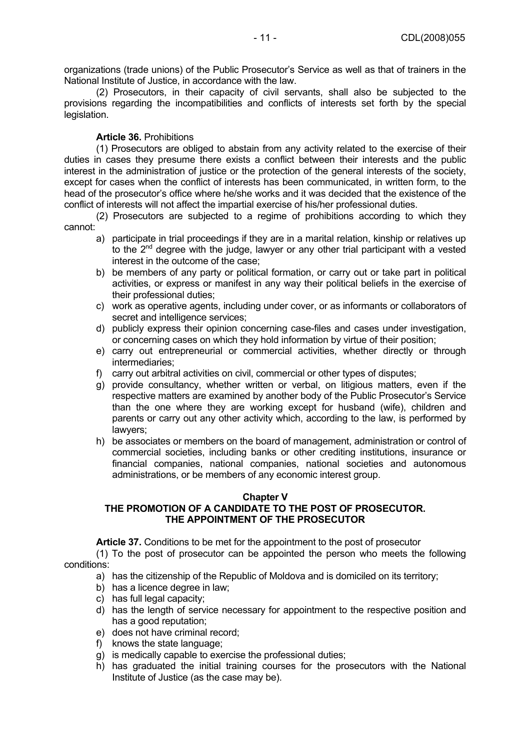organizations (trade unions) of the Public Prosecutor's Service as well as that of trainers in the National Institute of Justice, in accordance with the law.

(2) Prosecutors, in their capacity of civil servants, shall also be subjected to the provisions regarding the incompatibilities and conflicts of interests set forth by the special legislation.

## **Article 36.** Prohibitions

(1) Prosecutors are obliged to abstain from any activity related to the exercise of their duties in cases they presume there exists a conflict between their interests and the public interest in the administration of justice or the protection of the general interests of the society, except for cases when the conflict of interests has been communicated, in written form, to the head of the prosecutor's office where he/she works and it was decided that the existence of the conflict of interests will not affect the impartial exercise of his/her professional duties.

(2) Prosecutors are subjected to a regime of prohibitions according to which they cannot:

- a) participate in trial proceedings if they are in a marital relation, kinship or relatives up to the  $2^{nd}$  degree with the judge, lawyer or any other trial participant with a vested interest in the outcome of the case;
- b) be members of any party or political formation, or carry out or take part in political activities, or express or manifest in any way their political beliefs in the exercise of their professional duties;
- c) work as operative agents, including under cover, or as informants or collaborators of secret and intelligence services:
- d) publicly express their opinion concerning case-files and cases under investigation, or concerning cases on which they hold information by virtue of their position;
- e) carry out entrepreneurial or commercial activities, whether directly or through intermediaries;
- f) carry out arbitral activities on civil, commercial or other types of disputes;
- g) provide consultancy, whether written or verbal, on litigious matters, even if the respective matters are examined by another body of the Public Prosecutor's Service than the one where they are working except for husband (wife), children and parents or carry out any other activity which, according to the law, is performed by lawyers;
- h) be associates or members on the board of management, administration or control of commercial societies, including banks or other crediting institutions, insurance or financial companies, national companies, national societies and autonomous administrations, or be members of any economic interest group.

#### **Chapter V**

## **THE PROMOTION OF A CANDIDATE TO THE POST OF PROSECUTOR. THE APPOINTMENT OF THE PROSECUTOR**

**Article 37.** Conditions to be met for the appointment to the post of prosecutor

(1) To the post of prosecutor can be appointed the person who meets the following conditions:

- a) has the citizenship of the Republic of Moldova and is domiciled on its territory;
- b) has a licence degree in law;
- c) has full legal capacity;
- d) has the length of service necessary for appointment to the respective position and has a good reputation:
- e) does not have criminal record;
- f) knows the state language;
- g) is medically capable to exercise the professional duties;
- h) has graduated the initial training courses for the prosecutors with the National Institute of Justice (as the case may be).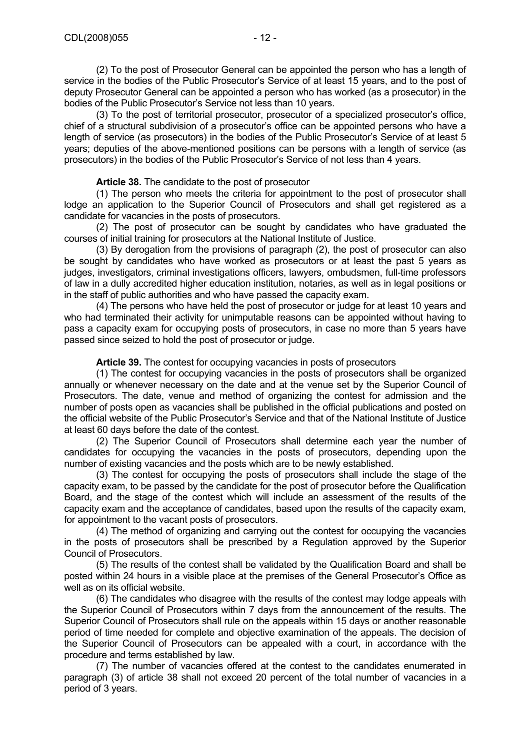(2) To the post of Prosecutor General can be appointed the person who has a length of service in the bodies of the Public Prosecutor's Service of at least 15 years, and to the post of deputy Prosecutor General can be appointed a person who has worked (as a prosecutor) in the bodies of the Public Prosecutor's Service not less than 10 years.

(3) To the post of territorial prosecutor, prosecutor of a specialized prosecutor's office, chief of a structural subdivision of a prosecutor's office can be appointed persons who have a length of service (as prosecutors) in the bodies of the Public Prosecutor's Service of at least 5 years; deputies of the above-mentioned positions can be persons with a length of service (as prosecutors) in the bodies of the Public Prosecutor's Service of not less than 4 years.

**Article 38.** The candidate to the post of prosecutor

(1) The person who meets the criteria for appointment to the post of prosecutor shall lodge an application to the Superior Council of Prosecutors and shall get registered as a candidate for vacancies in the posts of prosecutors.

(2) The post of prosecutor can be sought by candidates who have graduated the courses of initial training for prosecutors at the National Institute of Justice.

(3) By derogation from the provisions of paragraph (2), the post of prosecutor can also be sought by candidates who have worked as prosecutors or at least the past 5 years as judges, investigators, criminal investigations officers, lawyers, ombudsmen, full-time professors of law in a dully accredited higher education institution, notaries, as well as in legal positions or in the staff of public authorities and who have passed the capacity exam.

(4) The persons who have held the post of prosecutor or judge for at least 10 years and who had terminated their activity for unimputable reasons can be appointed without having to pass a capacity exam for occupying posts of prosecutors, in case no more than 5 years have passed since seized to hold the post of prosecutor or judge.

**Article 39.** The contest for occupying vacancies in posts of prosecutors

(1) The contest for occupying vacancies in the posts of prosecutors shall be organized annually or whenever necessary on the date and at the venue set by the Superior Council of Prosecutors. The date, venue and method of organizing the contest for admission and the number of posts open as vacancies shall be published in the official publications and posted on the official website of the Public Prosecutor's Service and that of the National Institute of Justice at least 60 days before the date of the contest.

(2) The Superior Council of Prosecutors shall determine each year the number of candidates for occupying the vacancies in the posts of prosecutors, depending upon the number of existing vacancies and the posts which are to be newly established.

(3) The contest for occupying the posts of prosecutors shall include the stage of the capacity exam, to be passed by the candidate for the post of prosecutor before the Qualification Board, and the stage of the contest which will include an assessment of the results of the capacity exam and the acceptance of candidates, based upon the results of the capacity exam, for appointment to the vacant posts of prosecutors.

(4) The method of organizing and carrying out the contest for occupying the vacancies in the posts of prosecutors shall be prescribed by a Regulation approved by the Superior Council of Prosecutors.

(5) The results of the contest shall be validated by the Qualification Board and shall be posted within 24 hours in a visible place at the premises of the General Prosecutor's Office as well as on its official website.

(6) The candidates who disagree with the results of the contest may lodge appeals with the Superior Council of Prosecutors within 7 days from the announcement of the results. The Superior Council of Prosecutors shall rule on the appeals within 15 days or another reasonable period of time needed for complete and objective examination of the appeals. The decision of the Superior Council of Prosecutors can be appealed with a court, in accordance with the procedure and terms established by law.

(7) The number of vacancies offered at the contest to the candidates enumerated in paragraph (3) of article 38 shall not exceed 20 percent of the total number of vacancies in a period of 3 years.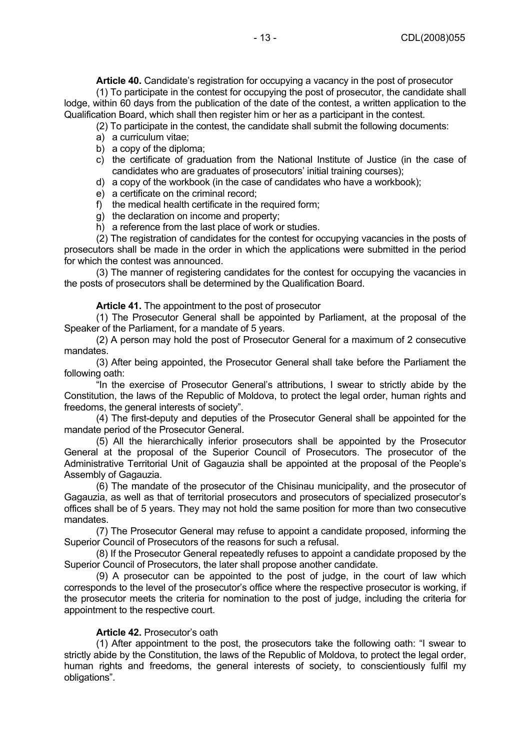**Article 40.** Candidate's registration for occupying a vacancy in the post of prosecutor (1) To participate in the contest for occupying the post of prosecutor, the candidate shall lodge, within 60 days from the publication of the date of the contest, a written application to the Qualification Board, which shall then register him or her as a participant in the contest.

(2) To participate in the contest, the candidate shall submit the following documents:

- a) a curriculum vitae;
- b) a copy of the diploma;
- c) the certificate of graduation from the National Institute of Justice (in the case of candidates who are graduates of prosecutors' initial training courses);
- d) a copy of the workbook (in the case of candidates who have a workbook);
- e) a certificate on the criminal record;
- f) the medical health certificate in the required form;
- g) the declaration on income and property;
- h) a reference from the last place of work or studies.

(2) The registration of candidates for the contest for occupying vacancies in the posts of prosecutors shall be made in the order in which the applications were submitted in the period for which the contest was announced.

(3) The manner of registering candidates for the contest for occupying the vacancies in the posts of prosecutors shall be determined by the Qualification Board.

#### **Article 41.** The appointment to the post of prosecutor

(1) The Prosecutor General shall be appointed by Parliament, at the proposal of the Speaker of the Parliament, for a mandate of 5 years.

(2) A person may hold the post of Prosecutor General for a maximum of 2 consecutive mandates.

(3) After being appointed, the Prosecutor General shall take before the Parliament the following oath:

"In the exercise of Prosecutor General's attributions, I swear to strictly abide by the Constitution, the laws of the Republic of Moldova, to protect the legal order, human rights and freedoms, the general interests of society".

(4) The first-deputy and deputies of the Prosecutor General shall be appointed for the mandate period of the Prosecutor General.

(5) All the hierarchically inferior prosecutors shall be appointed by the Prosecutor General at the proposal of the Superior Council of Prosecutors. The prosecutor of the Administrative Territorial Unit of Gagauzia shall be appointed at the proposal of the People's Assembly of Gagauzia.

(6) The mandate of the prosecutor of the Chisinau municipality, and the prosecutor of Gagauzia, as well as that of territorial prosecutors and prosecutors of specialized prosecutor's offices shall be of 5 years. They may not hold the same position for more than two consecutive mandates.

(7) The Prosecutor General may refuse to appoint a candidate proposed, informing the Superior Council of Prosecutors of the reasons for such a refusal.

(8) If the Prosecutor General repeatedly refuses to appoint a candidate proposed by the Superior Council of Prosecutors, the later shall propose another candidate.

(9) A prosecutor can be appointed to the post of judge, in the court of law which corresponds to the level of the prosecutor's office where the respective prosecutor is working, if the prosecutor meets the criteria for nomination to the post of judge, including the criteria for appointment to the respective court.

#### **Article 42.** Prosecutor's oath

(1) After appointment to the post, the prosecutors take the following oath: "I swear to strictly abide by the Constitution, the laws of the Republic of Moldova, to protect the legal order, human rights and freedoms, the general interests of society, to conscientiously fulfil my obligations".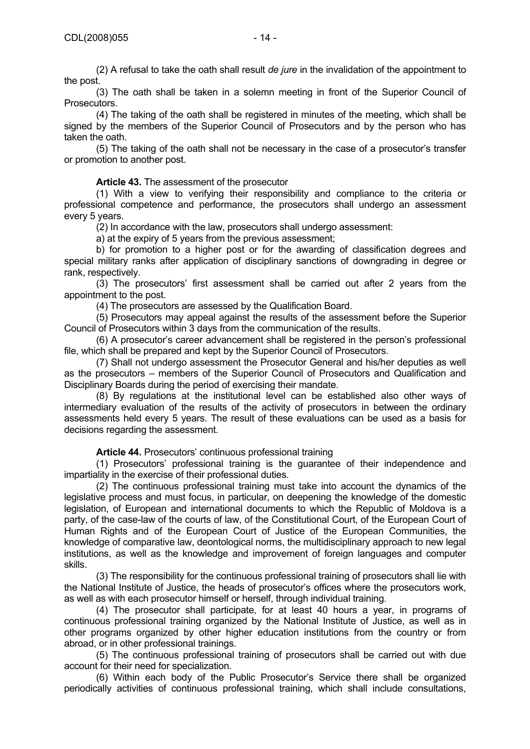(2) A refusal to take the oath shall result *de jure* in the invalidation of the appointment to the post.

(3) The oath shall be taken in a solemn meeting in front of the Superior Council of Prosecutors.

(4) The taking of the oath shall be registered in minutes of the meeting, which shall be signed by the members of the Superior Council of Prosecutors and by the person who has taken the oath.

(5) The taking of the oath shall not be necessary in the case of a prosecutor's transfer or promotion to another post.

**Article 43.** The assessment of the prosecutor

(1) With a view to verifying their responsibility and compliance to the criteria or professional competence and performance, the prosecutors shall undergo an assessment every 5 years.

(2) In accordance with the law, prosecutors shall undergo assessment:

a) at the expiry of 5 years from the previous assessment;

b) for promotion to a higher post or for the awarding of classification degrees and special military ranks after application of disciplinary sanctions of downgrading in degree or rank, respectively.

(3) The prosecutors' first assessment shall be carried out after 2 years from the appointment to the post.

(4) The prosecutors are assessed by the Qualification Board.

(5) Prosecutors may appeal against the results of the assessment before the Superior Council of Prosecutors within 3 days from the communication of the results.

(6) A prosecutor's career advancement shall be registered in the person's professional file, which shall be prepared and kept by the Superior Council of Prosecutors.

(7) Shall not undergo assessment the Prosecutor General and his/her deputies as well as the prosecutors – members of the Superior Council of Prosecutors and Qualification and Disciplinary Boards during the period of exercising their mandate.

(8) By regulations at the institutional level can be established also other ways of intermediary evaluation of the results of the activity of prosecutors in between the ordinary assessments held every 5 years. The result of these evaluations can be used as a basis for decisions regarding the assessment.

**Article 44.** Prosecutors' continuous professional training

(1) Prosecutors' professional training is the guarantee of their independence and impartiality in the exercise of their professional duties.

(2) The continuous professional training must take into account the dynamics of the legislative process and must focus, in particular, on deepening the knowledge of the domestic legislation, of European and international documents to which the Republic of Moldova is a party, of the case-law of the courts of law, of the Constitutional Court, of the European Court of Human Rights and of the European Court of Justice of the European Communities, the knowledge of comparative law, deontological norms, the multidisciplinary approach to new legal institutions, as well as the knowledge and improvement of foreign languages and computer skills.

(3) The responsibility for the continuous professional training of prosecutors shall lie with the National Institute of Justice, the heads of prosecutor's offices where the prosecutors work, as well as with each prosecutor himself or herself, through individual training.

(4) The prosecutor shall participate, for at least 40 hours a year, in programs of continuous professional training organized by the National Institute of Justice, as well as in other programs organized by other higher education institutions from the country or from abroad, or in other professional trainings.

(5) The continuous professional training of prosecutors shall be carried out with due account for their need for specialization.

(6) Within each body of the Public Prosecutor's Service there shall be organized periodically activities of continuous professional training, which shall include consultations,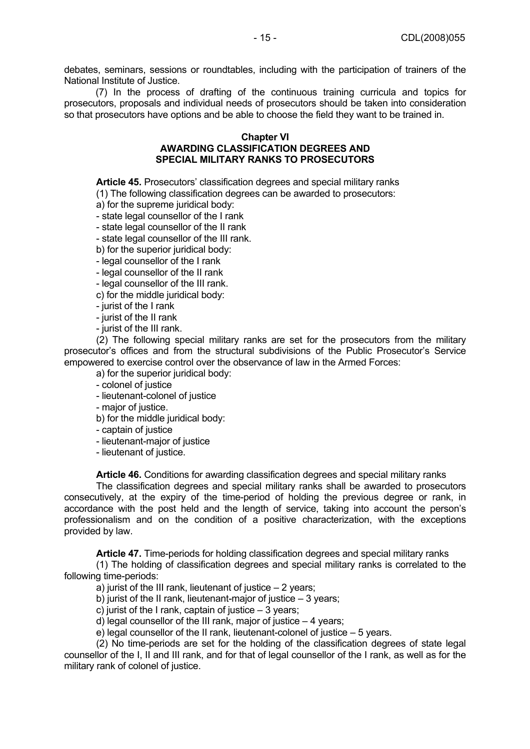debates, seminars, sessions or roundtables, including with the participation of trainers of the National Institute of Justice.

(7) In the process of drafting of the continuous training curricula and topics for prosecutors, proposals and individual needs of prosecutors should be taken into consideration so that prosecutors have options and be able to choose the field they want to be trained in.

#### **Chapter VI**

## **AWARDING CLASSIFICATION DEGREES AND SPECIAL MILITARY RANKS TO PROSECUTORS**

**Article 45.** Prosecutors' classification degrees and special military ranks

(1) The following classification degrees can be awarded to prosecutors:

a) for the supreme juridical body:

- state legal counsellor of the I rank

- state legal counsellor of the II rank

- state legal counsellor of the III rank.

b) for the superior juridical body:

- legal counsellor of the I rank

- legal counsellor of the II rank

- legal counsellor of the III rank.

c) for the middle juridical body:

- jurist of the I rank

- jurist of the II rank

- jurist of the III rank.

(2) The following special military ranks are set for the prosecutors from the military prosecutor's offices and from the structural subdivisions of the Public Prosecutor's Service empowered to exercise control over the observance of law in the Armed Forces:

a) for the superior juridical body:

- colonel of justice

- lieutenant-colonel of justice

- major of justice.

b) for the middle juridical body:

- captain of justice

- lieutenant-major of justice

- lieutenant of justice.

**Article 46.** Conditions for awarding classification degrees and special military ranks

The classification degrees and special military ranks shall be awarded to prosecutors consecutively, at the expiry of the time-period of holding the previous degree or rank, in accordance with the post held and the length of service, taking into account the person's professionalism and on the condition of a positive characterization, with the exceptions provided by law.

**Article 47.** Time-periods for holding classification degrees and special military ranks

(1) The holding of classification degrees and special military ranks is correlated to the following time-periods:

a) jurist of the III rank, lieutenant of justice – 2 years;

b) jurist of the II rank, lieutenant-major of justice – 3 years;

c) jurist of the I rank, captain of justice  $-3$  years;

d) legal counsellor of the III rank, major of justice – 4 years;

e) legal counsellor of the II rank, lieutenant-colonel of justice – 5 years.

(2) No time-periods are set for the holding of the classification degrees of state legal counsellor of the I, II and III rank, and for that of legal counsellor of the I rank, as well as for the military rank of colonel of justice.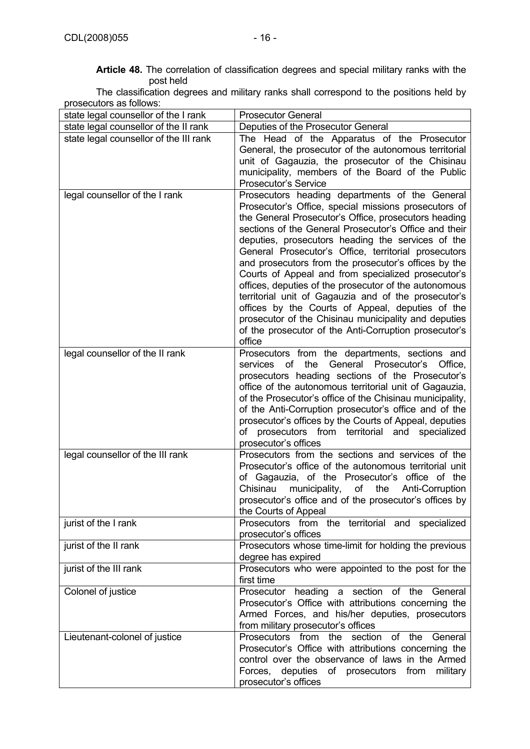**Article 48.** The correlation of classification degrees and special military ranks with the post held

The classification degrees and military ranks shall correspond to the positions held by prosecutors as follows:

| state legal counsellor of the I rank   | <b>Prosecutor General</b>                                                                                                                                                                                                                                                                                                                                                                                                                                                                                                                                                                                                                                                                                                                          |
|----------------------------------------|----------------------------------------------------------------------------------------------------------------------------------------------------------------------------------------------------------------------------------------------------------------------------------------------------------------------------------------------------------------------------------------------------------------------------------------------------------------------------------------------------------------------------------------------------------------------------------------------------------------------------------------------------------------------------------------------------------------------------------------------------|
| state legal counsellor of the II rank  | Deputies of the Prosecutor General                                                                                                                                                                                                                                                                                                                                                                                                                                                                                                                                                                                                                                                                                                                 |
| state legal counsellor of the III rank | The Head of the Apparatus of the Prosecutor<br>General, the prosecutor of the autonomous territorial<br>unit of Gagauzia, the prosecutor of the Chisinau<br>municipality, members of the Board of the Public<br><b>Prosecutor's Service</b>                                                                                                                                                                                                                                                                                                                                                                                                                                                                                                        |
| legal counsellor of the I rank         | Prosecutors heading departments of the General<br>Prosecutor's Office, special missions prosecutors of<br>the General Prosecutor's Office, prosecutors heading<br>sections of the General Prosecutor's Office and their<br>deputies, prosecutors heading the services of the<br>General Prosecutor's Office, territorial prosecutors<br>and prosecutors from the prosecutor's offices by the<br>Courts of Appeal and from specialized prosecutor's<br>offices, deputies of the prosecutor of the autonomous<br>territorial unit of Gagauzia and of the prosecutor's<br>offices by the Courts of Appeal, deputies of the<br>prosecutor of the Chisinau municipality and deputies<br>of the prosecutor of the Anti-Corruption prosecutor's<br>office |
| legal counsellor of the II rank        | Prosecutors from the departments, sections and<br>the<br>General<br>Prosecutor's<br>services<br>of<br>Office.<br>prosecutors heading sections of the Prosecutor's<br>office of the autonomous territorial unit of Gagauzia,<br>of the Prosecutor's office of the Chisinau municipality,<br>of the Anti-Corruption prosecutor's office and of the<br>prosecutor's offices by the Courts of Appeal, deputies<br>prosecutors from territorial<br>of<br>and<br>specialized<br>prosecutor's offices                                                                                                                                                                                                                                                     |
| legal counsellor of the III rank       | Prosecutors from the sections and services of the<br>Prosecutor's office of the autonomous territorial unit<br>of Gagauzia, of the Prosecutor's office of the<br>Chisinau<br>municipality,<br>of<br>the<br>Anti-Corruption<br>prosecutor's office and of the prosecutor's offices by<br>the Courts of Appeal                                                                                                                                                                                                                                                                                                                                                                                                                                       |
| jurist of the I rank                   | Prosecutors from the territorial and specialized<br>prosecutor's offices                                                                                                                                                                                                                                                                                                                                                                                                                                                                                                                                                                                                                                                                           |
| jurist of the II rank                  | Prosecutors whose time-limit for holding the previous<br>degree has expired                                                                                                                                                                                                                                                                                                                                                                                                                                                                                                                                                                                                                                                                        |
| jurist of the III rank                 | Prosecutors who were appointed to the post for the<br>first time                                                                                                                                                                                                                                                                                                                                                                                                                                                                                                                                                                                                                                                                                   |
| Colonel of justice                     | Prosecutor heading a section of the General<br>Prosecutor's Office with attributions concerning the<br>Armed Forces, and his/her deputies, prosecutors<br>from military prosecutor's offices                                                                                                                                                                                                                                                                                                                                                                                                                                                                                                                                                       |
| Lieutenant-colonel of justice          | Prosecutors from the section of the<br>General<br>Prosecutor's Office with attributions concerning the<br>control over the observance of laws in the Armed<br>Forces, deputies of prosecutors from<br>military<br>prosecutor's offices                                                                                                                                                                                                                                                                                                                                                                                                                                                                                                             |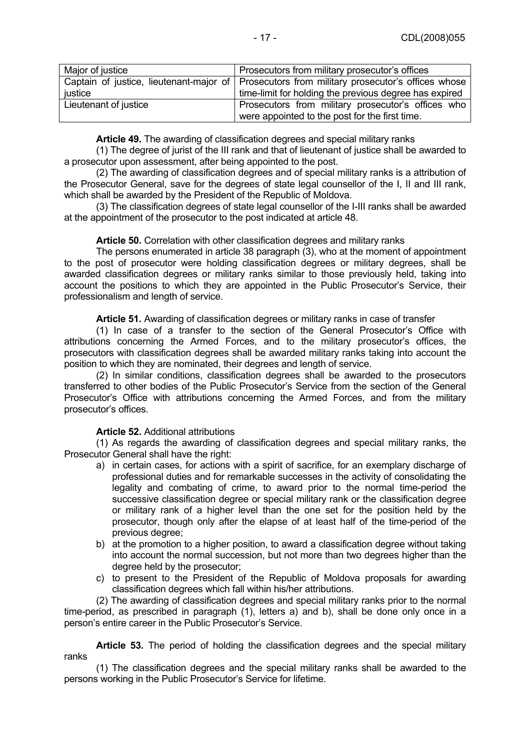| Major of justice      | Prosecutors from military prosecutor's offices                                               |
|-----------------------|----------------------------------------------------------------------------------------------|
|                       | Captain of justice, lieutenant-major of Prosecutors from military prosecutor's offices whose |
| justice               | time-limit for holding the previous degree has expired                                       |
| Lieutenant of justice | Prosecutors from military prosecutor's offices who                                           |
|                       | were appointed to the post for the first time.                                               |

**Article 49.** The awarding of classification degrees and special military ranks

(1) The degree of jurist of the III rank and that of lieutenant of justice shall be awarded to a prosecutor upon assessment, after being appointed to the post.

(2) The awarding of classification degrees and of special military ranks is a attribution of the Prosecutor General, save for the degrees of state legal counsellor of the I, II and III rank, which shall be awarded by the President of the Republic of Moldova.

(3) The classification degrees of state legal counsellor of the I-III ranks shall be awarded at the appointment of the prosecutor to the post indicated at article 48.

## **Article 50.** Correlation with other classification degrees and military ranks

The persons enumerated in article 38 paragraph (3), who at the moment of appointment to the post of prosecutor were holding classification degrees or military degrees, shall be awarded classification degrees or military ranks similar to those previously held, taking into account the positions to which they are appointed in the Public Prosecutor's Service, their professionalism and length of service.

**Article 51.** Awarding of classification degrees or military ranks in case of transfer

(1) In case of a transfer to the section of the General Prosecutor's Office with attributions concerning the Armed Forces, and to the military prosecutor's offices, the prosecutors with classification degrees shall be awarded military ranks taking into account the position to which they are nominated, their degrees and length of service.

(2) In similar conditions, classification degrees shall be awarded to the prosecutors transferred to other bodies of the Public Prosecutor's Service from the section of the General Prosecutor's Office with attributions concerning the Armed Forces, and from the military prosecutor's offices.

#### **Article 52.** Additional attributions

(1) As regards the awarding of classification degrees and special military ranks, the Prosecutor General shall have the right:

- a) in certain cases, for actions with a spirit of sacrifice, for an exemplary discharge of professional duties and for remarkable successes in the activity of consolidating the legality and combating of crime, to award prior to the normal time-period the successive classification degree or special military rank or the classification degree or military rank of a higher level than the one set for the position held by the prosecutor, though only after the elapse of at least half of the time-period of the previous degree;
- b) at the promotion to a higher position, to award a classification degree without taking into account the normal succession, but not more than two degrees higher than the degree held by the prosecutor;
- c) to present to the President of the Republic of Moldova proposals for awarding classification degrees which fall within his/her attributions.

(2) The awarding of classification degrees and special military ranks prior to the normal time-period, as prescribed in paragraph (1), letters a) and b), shall be done only once in a person's entire career in the Public Prosecutor's Service.

**Article 53.** The period of holding the classification degrees and the special military ranks

(1) The classification degrees and the special military ranks shall be awarded to the persons working in the Public Prosecutor's Service for lifetime.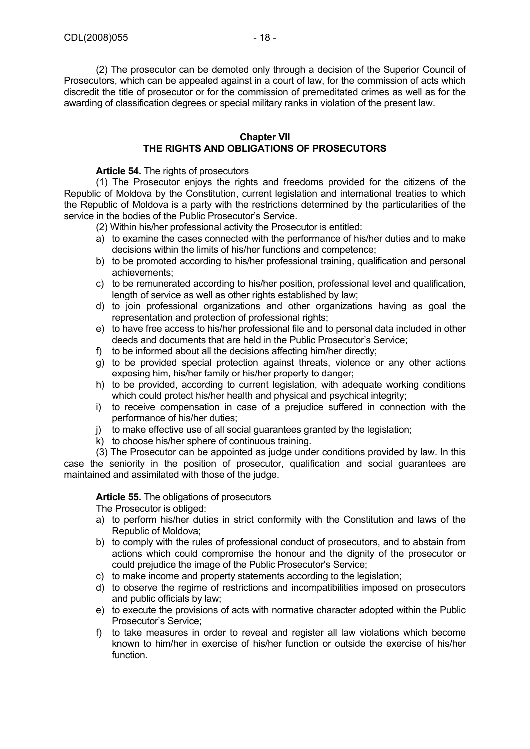(2) The prosecutor can be demoted only through a decision of the Superior Council of Prosecutors, which can be appealed against in a court of law, for the commission of acts which discredit the title of prosecutor or for the commission of premeditated crimes as well as for the awarding of classification degrees or special military ranks in violation of the present law.

## **Chapter VII THE RIGHTS AND OBLIGATIONS OF PROSECUTORS**

**Article 54.** The rights of prosecutors

(1) The Prosecutor enjoys the rights and freedoms provided for the citizens of the Republic of Moldova by the Constitution, current legislation and international treaties to which the Republic of Moldova is a party with the restrictions determined by the particularities of the service in the bodies of the Public Prosecutor's Service.

- (2) Within his/her professional activity the Prosecutor is entitled:
- a) to examine the cases connected with the performance of his/her duties and to make decisions within the limits of his/her functions and competence;
- b) to be promoted according to his/her professional training, qualification and personal achievements;
- c) to be remunerated according to his/her position, professional level and qualification, length of service as well as other rights established by law;
- d) to join professional organizations and other organizations having as goal the representation and protection of professional rights:
- e) to have free access to his/her professional file and to personal data included in other deeds and documents that are held in the Public Prosecutor's Service;
- f) to be informed about all the decisions affecting him/her directly;
- g) to be provided special protection against threats, violence or any other actions exposing him, his/her family or his/her property to danger;
- h) to be provided, according to current legislation, with adequate working conditions which could protect his/her health and physical and psychical integrity;
- i) to receive compensation in case of a prejudice suffered in connection with the performance of his/her duties;
- j) to make effective use of all social quarantees granted by the legislation;
- k) to choose his/her sphere of continuous training.

(3) The Prosecutor can be appointed as judge under conditions provided by law. In this case the seniority in the position of prosecutor, qualification and social guarantees are maintained and assimilated with those of the judge.

## **Article 55.** The obligations of prosecutors

The Prosecutor is obliged:

- a) to perform his/her duties in strict conformity with the Constitution and laws of the Republic of Moldova;
- b) to comply with the rules of professional conduct of prosecutors, and to abstain from actions which could compromise the honour and the dignity of the prosecutor or could prejudice the image of the Public Prosecutor's Service;
- c) to make income and property statements according to the legislation;
- d) to observe the regime of restrictions and incompatibilities imposed on prosecutors and public officials by law;
- e) to execute the provisions of acts with normative character adopted within the Public Prosecutor's Service;
- f) to take measures in order to reveal and register all law violations which become known to him/her in exercise of his/her function or outside the exercise of his/her function.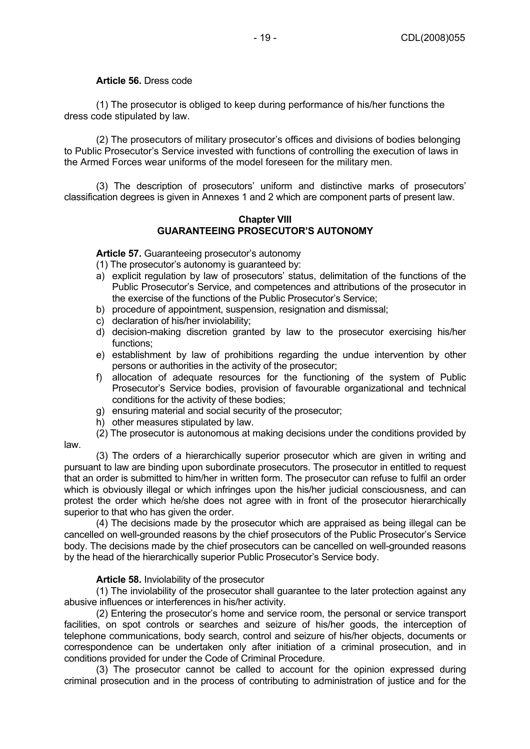## **Article 56.** Dress code

(1) The prosecutor is obliged to keep during performance of his/her functions the dress code stipulated by law.

(2) The prosecutors of military prosecutor's offices and divisions of bodies belonging to Public Prosecutor's Service invested with functions of controlling the execution of laws in the Armed Forces wear uniforms of the model foreseen for the military men.

(3) The description of prosecutors' uniform and distinctive marks of prosecutors' classification degrees is given in Annexes 1 and 2 which are component parts of present law.

#### **Chapter VIII GUARANTEEING PROSECUTOR'S AUTONOMY**

**Article 57.** Guaranteeing prosecutor's autonomy

- (1) The prosecutor's autonomy is guaranteed by:
- a) explicit regulation by law of prosecutors' status, delimitation of the functions of the Public Prosecutor's Service, and competences and attributions of the prosecutor in the exercise of the functions of the Public Prosecutor's Service;
- b) procedure of appointment, suspension, resignation and dismissal;
- c) declaration of his/her inviolability;
- d) decision-making discretion granted by law to the prosecutor exercising his/her functions;
- e) establishment by law of prohibitions regarding the undue intervention by other persons or authorities in the activity of the prosecutor;
- f) allocation of adequate resources for the functioning of the system of Public Prosecutor's Service bodies, provision of favourable organizational and technical conditions for the activity of these bodies;
- g) ensuring material and social security of the prosecutor;
- h) other measures stipulated by law.
- (2) The prosecutor is autonomous at making decisions under the conditions provided by

law.

(3) The orders of a hierarchically superior prosecutor which are given in writing and pursuant to law are binding upon subordinate prosecutors. The prosecutor in entitled to request that an order is submitted to him/her in written form. The prosecutor can refuse to fulfil an order which is obviously illegal or which infringes upon the his/her judicial consciousness, and can protest the order which he/she does not agree with in front of the prosecutor hierarchically superior to that who has given the order.

(4) The decisions made by the prosecutor which are appraised as being illegal can be cancelled on well-grounded reasons by the chief prosecutors of the Public Prosecutor's Service body. The decisions made by the chief prosecutors can be cancelled on well-grounded reasons by the head of the hierarchically superior Public Prosecutor's Service body.

#### **Article 58.** Inviolability of the prosecutor

(1) The inviolability of the prosecutor shall guarantee to the later protection against any abusive influences or interferences in his/her activity.

(2) Entering the prosecutor's home and service room, the personal or service transport facilities, on spot controls or searches and seizure of his/her goods, the interception of telephone communications, body search, control and seizure of his/her objects, documents or correspondence can be undertaken only after initiation of a criminal prosecution, and in conditions provided for under the Code of Criminal Procedure.

(3) The prosecutor cannot be called to account for the opinion expressed during criminal prosecution and in the process of contributing to administration of justice and for the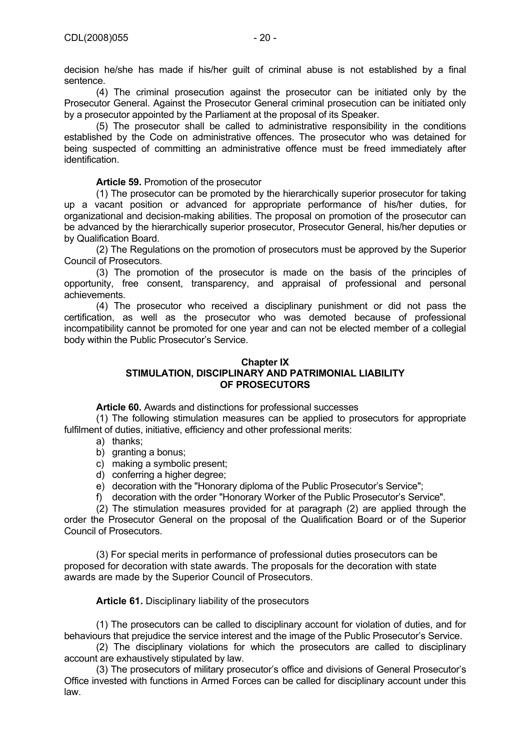(4) The criminal prosecution against the prosecutor can be initiated only by the Prosecutor General. Against the Prosecutor General criminal prosecution can be initiated only by a prosecutor appointed by the Parliament at the proposal of its Speaker.

(5) The prosecutor shall be called to administrative responsibility in the conditions established by the Code on administrative offences. The prosecutor who was detained for being suspected of committing an administrative offence must be freed immediately after identification.

**Article 59.** Promotion of the prosecutor

(1) The prosecutor can be promoted by the hierarchically superior prosecutor for taking up a vacant position or advanced for appropriate performance of his/her duties, for organizational and decision-making abilities. The proposal on promotion of the prosecutor can be advanced by the hierarchically superior prosecutor, Prosecutor General, his/her deputies or by Qualification Board.

(2) The Regulations on the promotion of prosecutors must be approved by the Superior Council of Prosecutors.

(3) The promotion of the prosecutor is made on the basis of the principles of opportunity, free consent, transparency, and appraisal of professional and personal achievements.

(4) The prosecutor who received a disciplinary punishment or did not pass the certification, as well as the prosecutor who was demoted because of professional incompatibility cannot be promoted for one year and can not be elected member of a collegial body within the Public Prosecutor's Service.

#### **Chapter IX STIMULATION, DISCIPLINARY AND PATRIMONIAL LIABILITY OF PROSECUTORS**

**Article 60.** Awards and distinctions for professional successes

(1) The following stimulation measures can be applied to prosecutors for appropriate fulfilment of duties, initiative, efficiency and other professional merits:

- a) thanks;
- b) granting a bonus;
- c) making a symbolic present;
- d) conferring a higher degree;
- e) decoration with the "Honorary diploma of the Public Prosecutor's Service";
- f) decoration with the order "Honorary Worker of the Public Prosecutor's Service".

(2) The stimulation measures provided for at paragraph (2) are applied through the order the Prosecutor General on the proposal of the Qualification Board or of the Superior Council of Prosecutors.

(3) For special merits in performance of professional duties prosecutors can be proposed for decoration with state awards. The proposals for the decoration with state awards are made by the Superior Council of Prosecutors.

**Article 61.** Disciplinary liability of the prosecutors

(1) The prosecutors can be called to disciplinary account for violation of duties, and for behaviours that prejudice the service interest and the image of the Public Prosecutor's Service.

(2) The disciplinary violations for which the prosecutors are called to disciplinary account are exhaustively stipulated by law.

(3) The prosecutors of military prosecutor's office and divisions of General Prosecutor's Office invested with functions in Armed Forces can be called for disciplinary account under this law.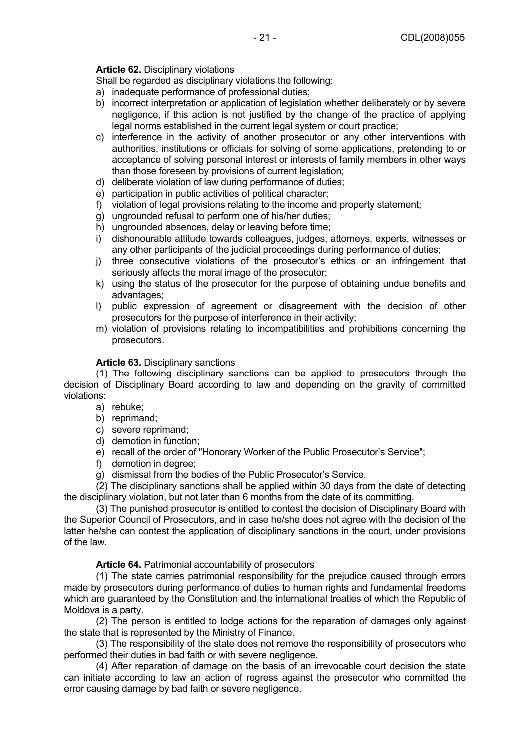## **Article 62.** Disciplinary violations

Shall be regarded as disciplinary violations the following:

- a) inadequate performance of professional duties;
- b) incorrect interpretation or application of legislation whether deliberately or by severe negligence, if this action is not justified by the change of the practice of applying legal norms established in the current legal system or court practice;
- c) interference in the activity of another prosecutor or any other interventions with authorities, institutions or officials for solving of some applications, pretending to or acceptance of solving personal interest or interests of family members in other ways than those foreseen by provisions of current legislation;
- d) deliberate violation of law during performance of duties;
- e) participation in public activities of political character;
- f) violation of legal provisions relating to the income and property statement;
- g) ungrounded refusal to perform one of his/her duties;
- h) ungrounded absences, delay or leaving before time;
- i) dishonourable attitude towards colleagues, judges, attorneys, experts, witnesses or any other participants of the judicial proceedings during performance of duties;
- j) three consecutive violations of the prosecutor's ethics or an infringement that seriously affects the moral image of the prosecutor;
- k) using the status of the prosecutor for the purpose of obtaining undue benefits and advantages;
- l) public expression of agreement or disagreement with the decision of other prosecutors for the purpose of interference in their activity;
- m) violation of provisions relating to incompatibilities and prohibitions concerning the prosecutors.

## **Article 63.** Disciplinary sanctions

(1) The following disciplinary sanctions can be applied to prosecutors through the decision of Disciplinary Board according to law and depending on the gravity of committed violations:

- a) rebuke;
- b) reprimand;
- c) severe reprimand;
- d) demotion in function;
- e) recall of the order of "Honorary Worker of the Public Prosecutor's Service";
- f) demotion in degree;
- g) dismissal from the bodies of the Public Prosecutor's Service.

(2) The disciplinary sanctions shall be applied within 30 days from the date of detecting the disciplinary violation, but not later than 6 months from the date of its committing.

(3) The punished prosecutor is entitled to contest the decision of Disciplinary Board with the Superior Council of Prosecutors, and in case he/she does not agree with the decision of the latter he/she can contest the application of disciplinary sanctions in the court, under provisions of the law.

**Article 64.** Patrimonial accountability of prosecutors

(1) The state carries patrimonial responsibility for the prejudice caused through errors made by prosecutors during performance of duties to human rights and fundamental freedoms which are guaranteed by the Constitution and the international treaties of which the Republic of Moldova is a party.

(2) The person is entitled to lodge actions for the reparation of damages only against the state that is represented by the Ministry of Finance.

(3) The responsibility of the state does not remove the responsibility of prosecutors who performed their duties in bad faith or with severe negligence.

(4) After reparation of damage on the basis of an irrevocable court decision the state can initiate according to law an action of regress against the prosecutor who committed the error causing damage by bad faith or severe negligence.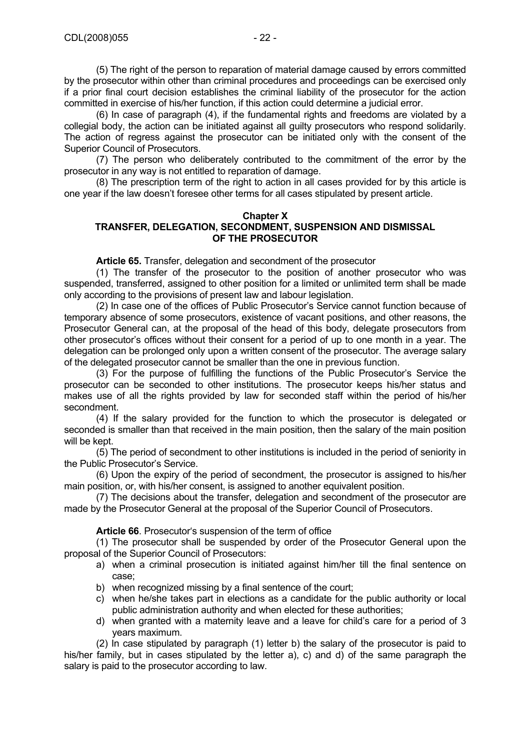(5) The right of the person to reparation of material damage caused by errors committed by the prosecutor within other than criminal procedures and proceedings can be exercised only if a prior final court decision establishes the criminal liability of the prosecutor for the action committed in exercise of his/her function, if this action could determine a judicial error.

(6) In case of paragraph (4), if the fundamental rights and freedoms are violated by a collegial body, the action can be initiated against all guilty prosecutors who respond solidarily. The action of regress against the prosecutor can be initiated only with the consent of the Superior Council of Prosecutors.

(7) The person who deliberately contributed to the commitment of the error by the prosecutor in any way is not entitled to reparation of damage.

(8) The prescription term of the right to action in all cases provided for by this article is one year if the law doesn't foresee other terms for all cases stipulated by present article.

#### **Chapter X TRANSFER, DELEGATION, SECONDMENT, SUSPENSION AND DISMISSAL OF THE PROSECUTOR**

**Article 65.** Transfer, delegation and secondment of the prosecutor

(1) The transfer of the prosecutor to the position of another prosecutor who was suspended, transferred, assigned to other position for a limited or unlimited term shall be made only according to the provisions of present law and labour legislation.

(2) In case one of the offices of Public Prosecutor's Service cannot function because of temporary absence of some prosecutors, existence of vacant positions, and other reasons, the Prosecutor General can, at the proposal of the head of this body, delegate prosecutors from other prosecutor's offices without their consent for a period of up to one month in a year. The delegation can be prolonged only upon a written consent of the prosecutor. The average salary of the delegated prosecutor cannot be smaller than the one in previous function.

(3) For the purpose of fulfilling the functions of the Public Prosecutor's Service the prosecutor can be seconded to other institutions. The prosecutor keeps his/her status and makes use of all the rights provided by law for seconded staff within the period of his/her secondment.

(4) If the salary provided for the function to which the prosecutor is delegated or seconded is smaller than that received in the main position, then the salary of the main position will be kept.

(5) The period of secondment to other institutions is included in the period of seniority in the Public Prosecutor's Service.

(6) Upon the expiry of the period of secondment, the prosecutor is assigned to his/her main position, or, with his/her consent, is assigned to another equivalent position.

(7) The decisions about the transfer, delegation and secondment of the prosecutor are made by the Prosecutor General at the proposal of the Superior Council of Prosecutors.

**Article 66**. Prosecutor's suspension of the term of office

(1) The prosecutor shall be suspended by order of the Prosecutor General upon the proposal of the Superior Council of Prosecutors:

- a) when a criminal prosecution is initiated against him/her till the final sentence on case;
- b) when recognized missing by a final sentence of the court;
- c) when he/she takes part in elections as a candidate for the public authority or local public administration authority and when elected for these authorities;
- d) when granted with a maternity leave and a leave for child's care for a period of 3 years maximum.

(2) In case stipulated by paragraph (1) letter b) the salary of the prosecutor is paid to his/her family, but in cases stipulated by the letter a), c) and d) of the same paragraph the salary is paid to the prosecutor according to law.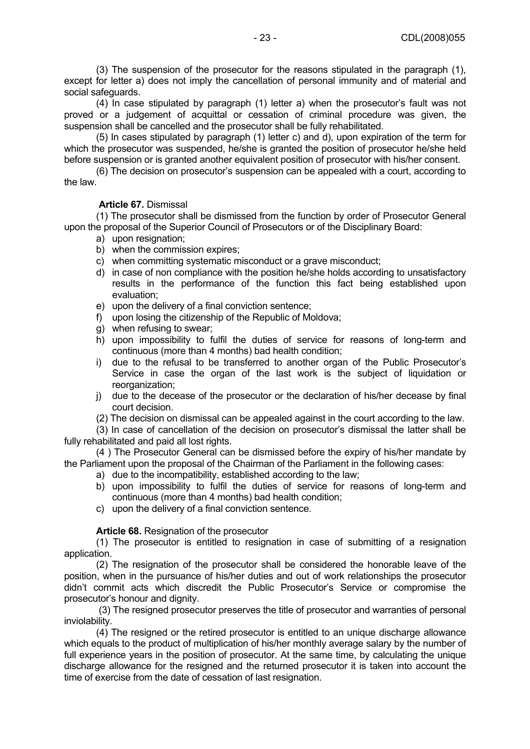(3) The suspension of the prosecutor for the reasons stipulated in the paragraph (1), except for letter a) does not imply the cancellation of personal immunity and of material and social safeguards.

(4) In case stipulated by paragraph (1) letter a) when the prosecutor's fault was not proved or a judgement of acquittal or cessation of criminal procedure was given, the suspension shall be cancelled and the prosecutor shall be fully rehabilitated.

(5) In cases stipulated by paragraph (1) letter c) and d), upon expiration of the term for which the prosecutor was suspended, he/she is granted the position of prosecutor he/she held before suspension or is granted another equivalent position of prosecutor with his/her consent.

(6) The decision on prosecutor's suspension can be appealed with a court, according to the law.

## **Article 67.** Dismissal

(1) The prosecutor shall be dismissed from the function by order of Prosecutor General upon the proposal of the Superior Council of Prosecutors or of the Disciplinary Board:

- a) upon resignation;
- b) when the commission expires;
- c) when committing systematic misconduct or a grave misconduct;
- d) in case of non compliance with the position he/she holds according to unsatisfactory results in the performance of the function this fact being established upon evaluation;
- e) upon the delivery of a final conviction sentence;
- f) upon losing the citizenship of the Republic of Moldova;
- g) when refusing to swear;
- h) upon impossibility to fulfil the duties of service for reasons of long-term and continuous (more than 4 months) bad health condition;
- i) due to the refusal to be transferred to another organ of the Public Prosecutor's Service in case the organ of the last work is the subject of liquidation or reorganization;
- j) due to the decease of the prosecutor or the declaration of his/her decease by final court decision.
- (2) The decision on dismissal can be appealed against in the court according to the law.

(3) In case of cancellation of the decision on prosecutor's dismissal the latter shall be fully rehabilitated and paid all lost rights.

(4 ) The Prosecutor General can be dismissed before the expiry of his/her mandate by the Parliament upon the proposal of the Chairman of the Parliament in the following cases:

- a) due to the incompatibility, established according to the law;
- b) upon impossibility to fulfil the duties of service for reasons of long-term and continuous (more than 4 months) bad health condition;
- c) upon the delivery of a final conviction sentence.

## **Article 68.** Resignation of the prosecutor

(1) The prosecutor is entitled to resignation in case of submitting of a resignation application.

(2) The resignation of the prosecutor shall be considered the honorable leave of the position, when in the pursuance of his/her duties and out of work relationships the prosecutor didn't commit acts which discredit the Public Prosecutor's Service or compromise the prosecutor's honour and dignity.

 (3) The resigned prosecutor preserves the title of prosecutor and warranties of personal inviolability.

(4) The resigned or the retired prosecutor is entitled to an unique discharge allowance which equals to the product of multiplication of his/her monthly average salary by the number of full experience years in the position of prosecutor. At the same time, by calculating the unique discharge allowance for the resigned and the returned prosecutor it is taken into account the time of exercise from the date of cessation of last resignation.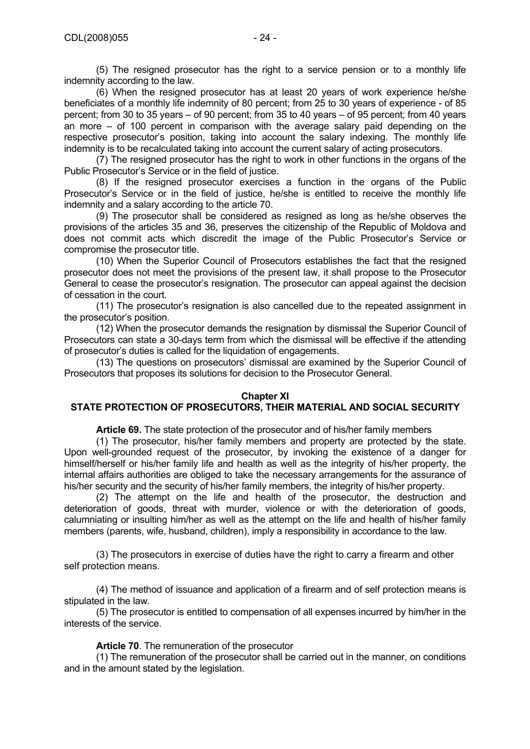(5) The resigned prosecutor has the right to a service pension or to a monthly life indemnity according to the law.

(6) When the resigned prosecutor has at least 20 years of work experience he/she beneficiates of a monthly life indemnity of 80 percent; from 25 to 30 years of experience - of 85 percent; from 30 to 35 years – of 90 percent; from 35 to 40 years – of 95 percent; from 40 years an more – of 100 percent in comparison with the average salary paid depending on the respective prosecutor's position, taking into account the salary indexing. The monthly life indemnity is to be recalculated taking into account the current salary of acting prosecutors.

(7) The resigned prosecutor has the right to work in other functions in the organs of the Public Prosecutor's Service or in the field of justice.

(8) If the resigned prosecutor exercises a function in the organs of the Public Prosecutor's Service or in the field of justice, he/she is entitled to receive the monthly life indemnity and a salary according to the article 70.

(9) The prosecutor shall be considered as resigned as long as he/she observes the provisions of the articles 35 and 36, preserves the citizenship of the Republic of Moldova and does not commit acts which discredit the image of the Public Prosecutor's Service or compromise the prosecutor title.

(10) When the Superior Council of Prosecutors establishes the fact that the resigned prosecutor does not meet the provisions of the present law, it shall propose to the Prosecutor General to cease the prosecutor's resignation. The prosecutor can appeal against the decision of cessation in the court.

(11) The prosecutor's resignation is also cancelled due to the repeated assignment in the prosecutor's position.

(12) When the prosecutor demands the resignation by dismissal the Superior Council of Prosecutors can state a 30-days term from which the dismissal will be effective if the attending of prosecutor's duties is called for the liquidation of engagements.

(13) The questions on prosecutors' dismissal are examined by the Superior Council of Prosecutors that proposes its solutions for decision to the Prosecutor General.

#### **Chapter XI**

## **STATE PROTECTION OF PROSECUTORS, THEIR MATERIAL AND SOCIAL SECURITY**

**Article 69.** The state protection of the prosecutor and of his/her family members

(1) The prosecutor, his/her family members and property are protected by the state. Upon well-grounded request of the prosecutor, by invoking the existence of a danger for himself/herself or his/her family life and health as well as the integrity of his/her property, the internal affairs authorities are obliged to take the necessary arrangements for the assurance of his/her security and the security of his/her family members, the integrity of his/her property.

(2) The attempt on the life and health of the prosecutor, the destruction and deterioration of goods, threat with murder, violence or with the deterioration of goods, calumniating or insulting him/her as well as the attempt on the life and health of his/her family members (parents, wife, husband, children), imply a responsibility in accordance to the law.

(3) The prosecutors in exercise of duties have the right to carry a firearm and other self protection means.

(4) The method of issuance and application of a firearm and of self protection means is stipulated in the law.

(5) The prosecutor is entitled to compensation of all expenses incurred by him/her in the interests of the service.

**Article 70**. The remuneration of the prosecutor

(1) The remuneration of the prosecutor shall be carried out in the manner, on conditions and in the amount stated by the legislation.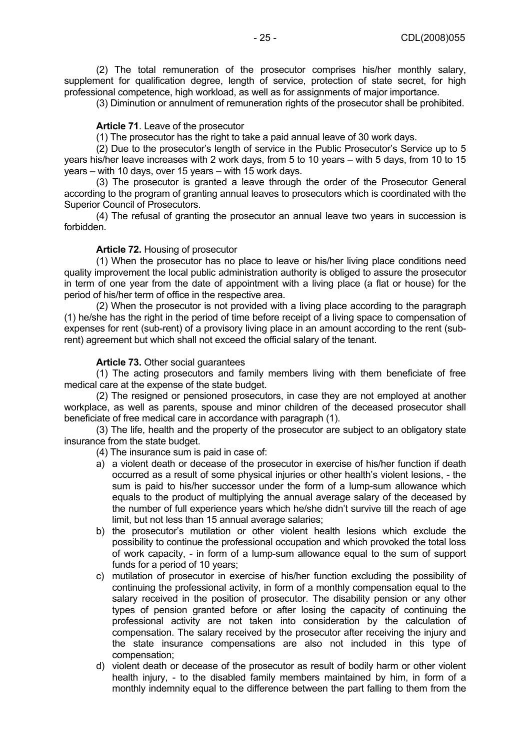(2) The total remuneration of the prosecutor comprises his/her monthly salary, supplement for qualification degree, length of service, protection of state secret, for high professional competence, high workload, as well as for assignments of major importance.

(3) Diminution or annulment of remuneration rights of the prosecutor shall be prohibited.

#### **Article 71**. Leave of the prosecutor

(1) The prosecutor has the right to take a paid annual leave of 30 work days.

(2) Due to the prosecutor's length of service in the Public Prosecutor's Service up to 5 years his/her leave increases with 2 work days, from 5 to 10 years – with 5 days, from 10 to 15  $\frac{1}{x}$  vears – with 10 days, over 15 years – with 15 work days.

(3) The prosecutor is granted a leave through the order of the Prosecutor General according to the program of granting annual leaves to prosecutors which is coordinated with the Superior Council of Prosecutors.

(4) The refusal of granting the prosecutor an annual leave two years in succession is forbidden.

## **Article 72.** Housing of prosecutor

(1) When the prosecutor has no place to leave or his/her living place conditions need quality improvement the local public administration authority is obliged to assure the prosecutor in term of one year from the date of appointment with a living place (a flat or house) for the period of his/her term of office in the respective area.

(2) When the prosecutor is not provided with a living place according to the paragraph (1) he/she has the right in the period of time before receipt of a living space to compensation of expenses for rent (sub-rent) of a provisory living place in an amount according to the rent (subrent) agreement but which shall not exceed the official salary of the tenant.

## **Article 73.** Other social guarantees

(1) The acting prosecutors and family members living with them beneficiate of free medical care at the expense of the state budget.

(2) The resigned or pensioned prosecutors, in case they are not employed at another workplace, as well as parents, spouse and minor children of the deceased prosecutor shall beneficiate of free medical care in accordance with paragraph (1).

(3) The life, health and the property of the prosecutor are subject to an obligatory state insurance from the state budget.

(4) The insurance sum is paid in case of:

- a) a violent death or decease of the prosecutor in exercise of his/her function if death occurred as a result of some physical injuries or other health's violent lesions, - the sum is paid to his/her successor under the form of a lump-sum allowance which equals to the product of multiplying the annual average salary of the deceased by the number of full experience years which he/she didn't survive till the reach of age limit, but not less than 15 annual average salaries;
- b) the prosecutor's mutilation or other violent health lesions which exclude the possibility to continue the professional occupation and which provoked the total loss of work capacity, - in form of a lump-sum allowance equal to the sum of support funds for a period of 10 years;
- c) mutilation of prosecutor in exercise of his/her function excluding the possibility of continuing the professional activity, in form of a monthly compensation equal to the salary received in the position of prosecutor. The disability pension or any other types of pension granted before or after losing the capacity of continuing the professional activity are not taken into consideration by the calculation of compensation. The salary received by the prosecutor after receiving the injury and the state insurance compensations are also not included in this type of compensation;
- d) violent death or decease of the prosecutor as result of bodily harm or other violent health injury, - to the disabled family members maintained by him, in form of a monthly indemnity equal to the difference between the part falling to them from the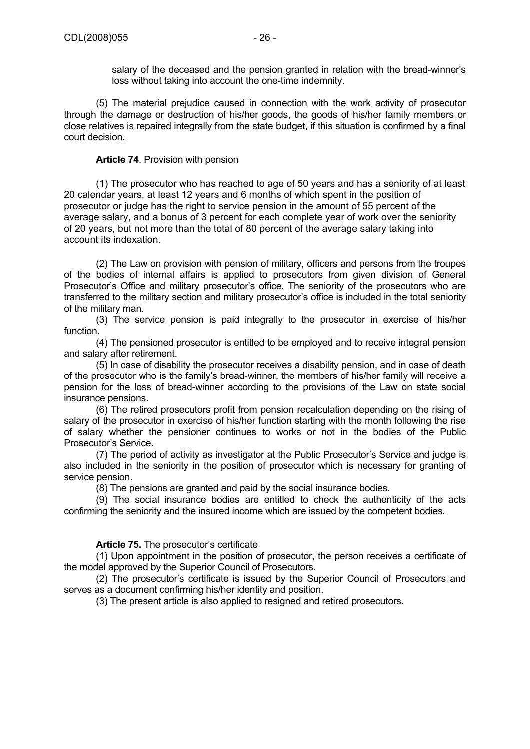salary of the deceased and the pension granted in relation with the bread-winner's loss without taking into account the one-time indemnity.

(5) The material prejudice caused in connection with the work activity of prosecutor through the damage or destruction of his/her goods, the goods of his/her family members or close relatives is repaired integrally from the state budget, if this situation is confirmed by a final court decision.

## **Article 74**. Provision with pension

(1) The prosecutor who has reached to age of 50 years and has a seniority of at least 20 calendar years, at least 12 years and 6 months of which spent in the position of prosecutor or judge has the right to service pension in the amount of 55 percent of the average salary, and a bonus of 3 percent for each complete year of work over the seniority of 20 years, but not more than the total of 80 percent of the average salary taking into account its indexation.

(2) The Law on provision with pension of military, officers and persons from the troupes of the bodies of internal affairs is applied to prosecutors from given division of General Prosecutor's Office and military prosecutor's office. The seniority of the prosecutors who are transferred to the military section and military prosecutor's office is included in the total seniority of the military man.

(3) The service pension is paid integrally to the prosecutor in exercise of his/her function.

(4) The pensioned prosecutor is entitled to be employed and to receive integral pension and salary after retirement.

(5) In case of disability the prosecutor receives a disability pension, and in case of death of the prosecutor who is the family's bread-winner, the members of his/her family will receive a pension for the loss of bread-winner according to the provisions of the Law on state social insurance pensions.

(6) The retired prosecutors profit from pension recalculation depending on the rising of salary of the prosecutor in exercise of his/her function starting with the month following the rise of salary whether the pensioner continues to works or not in the bodies of the Public Prosecutor's Service.

(7) The period of activity as investigator at the Public Prosecutor's Service and judge is also included in the seniority in the position of prosecutor which is necessary for granting of service pension.

(8) The pensions are granted and paid by the social insurance bodies.

(9) The social insurance bodies are entitled to check the authenticity of the acts confirming the seniority and the insured income which are issued by the competent bodies.

## **Article 75.** The prosecutor's certificate

(1) Upon appointment in the position of prosecutor, the person receives a certificate of the model approved by the Superior Council of Prosecutors.

(2) The prosecutor's certificate is issued by the Superior Council of Prosecutors and serves as a document confirming his/her identity and position.

(3) The present article is also applied to resigned and retired prosecutors.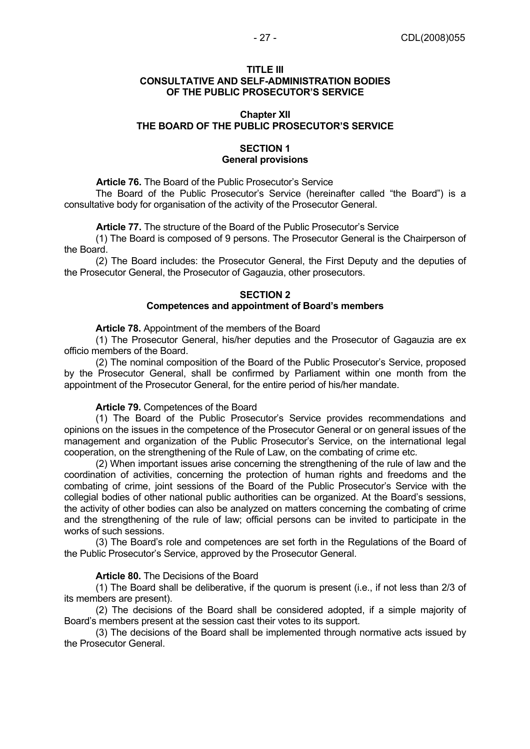#### **TITLE III CONSULTATIVE AND SELF-ADMINISTRATION BODIES OF THE PUBLIC PROSECUTOR'S SERVICE**

#### **Chapter XII THE BOARD OF THE PUBLIC PROSECUTOR'S SERVICE**

## **SECTION 1 General provisions**

**Article 76.** The Board of the Public Prosecutor's Service

The Board of the Public Prosecutor's Service (hereinafter called "the Board") is a consultative body for organisation of the activity of the Prosecutor General.

**Article 77.** The structure of the Board of the Public Prosecutor's Service

 (1) The Board is composed of 9 persons. The Prosecutor General is the Chairperson of the Board.

 (2) The Board includes: the Prosecutor General, the First Deputy and the deputies of the Prosecutor General, the Prosecutor of Gagauzia, other prosecutors.

## **SECTION 2**

#### **Competences and appointment of Board's members**

**Article 78.** Appointment of the members of the Board

 (1) The Prosecutor General, his/her deputies and the Prosecutor of Gagauzia are ex officio members of the Board.

 (2) The nominal composition of the Board of the Public Prosecutor's Service, proposed by the Prosecutor General, shall be confirmed by Parliament within one month from the appointment of the Prosecutor General, for the entire period of his/her mandate.

#### **Article 79.** Competences of the Board

 (1) The Board of the Public Prosecutor's Service provides recommendations and opinions on the issues in the competence of the Prosecutor General or on general issues of the management and organization of the Public Prosecutor's Service, on the international legal cooperation, on the strengthening of the Rule of Law, on the combating of crime etc.

 (2) When important issues arise concerning the strengthening of the rule of law and the coordination of activities, concerning the protection of human rights and freedoms and the combating of crime, joint sessions of the Board of the Public Prosecutor's Service with the collegial bodies of other national public authorities can be organized. At the Board's sessions, the activity of other bodies can also be analyzed on matters concerning the combating of crime and the strengthening of the rule of law; official persons can be invited to participate in the works of such sessions.

 (3) The Board's role and competences are set forth in the Regulations of the Board of the Public Prosecutor's Service, approved by the Prosecutor General.

#### **Article 80.** The Decisions of the Board

 (1) The Board shall be deliberative, if the quorum is present (i.e., if not less than 2/3 of its members are present).

 (2) The decisions of the Board shall be considered adopted, if a simple majority of Board's members present at the session cast their votes to its support.

 (3) The decisions of the Board shall be implemented through normative acts issued by the Prosecutor General.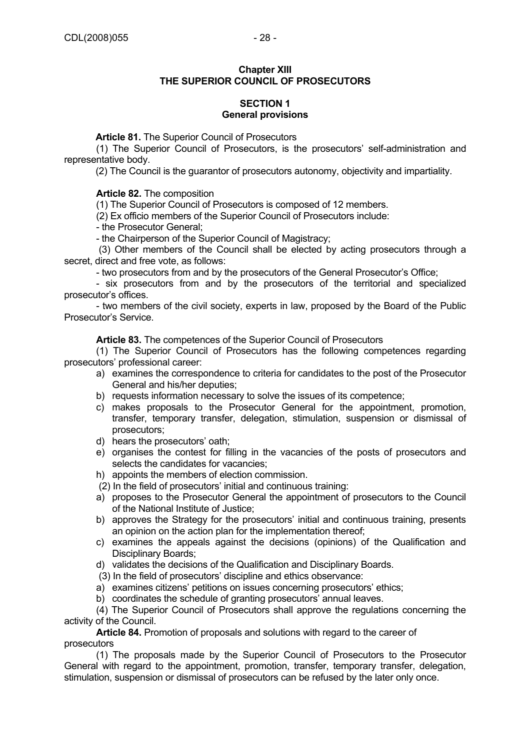## **SECTION 1 General provisions**

**Article 81.** The Superior Council of Prosecutors

(1) The Superior Council of Prosecutors, is the prosecutors' self-administration and representative body.

(2) The Council is the guarantor of prosecutors autonomy, objectivity and impartiality.

**Article 82.** The composition

(1) The Superior Council of Prosecutors is composed of 12 members.

(2) Ex officio members of the Superior Council of Prosecutors include:

- the Prosecutor General;

- the Chairperson of the Superior Council of Magistracy;

 (3) Other members of the Council shall be elected by acting prosecutors through a secret, direct and free vote, as follows:

- two prosecutors from and by the prosecutors of the General Prosecutor's Office;

- six prosecutors from and by the prosecutors of the territorial and specialized prosecutor's offices.

- two members of the civil society, experts in law, proposed by the Board of the Public Prosecutor's Service.

**Article 83.** The competences of the Superior Council of Prosecutors

(1) The Superior Council of Prosecutors has the following competences regarding prosecutors' professional career:

- a) examines the correspondence to criteria for candidates to the post of the Prosecutor General and his/her deputies;
- b) requests information necessary to solve the issues of its competence;
- c) makes proposals to the Prosecutor General for the appointment, promotion, transfer, temporary transfer, delegation, stimulation, suspension or dismissal of prosecutors;
- d) hears the prosecutors' oath;
- e) organises the contest for filling in the vacancies of the posts of prosecutors and selects the candidates for vacancies:
- h) appoints the members of election commission.
- (2) In the field of prosecutors' initial and continuous training:
- a) proposes to the Prosecutor General the appointment of prosecutors to the Council of the National Institute of Justice;
- b) approves the Strategy for the prosecutors' initial and continuous training, presents an opinion on the action plan for the implementation thereof;
- c) examines the appeals against the decisions (opinions) of the Qualification and Disciplinary Boards;
- d) validates the decisions of the Qualification and Disciplinary Boards.
- (3) In the field of prosecutors' discipline and ethics observance:
- a) examines citizens' petitions on issues concerning prosecutors' ethics;
- b) coordinates the schedule of granting prosecutors' annual leaves.

(4) The Superior Council of Prosecutors shall approve the regulations concerning the activity of the Council.

**Article 84.** Promotion of proposals and solutions with regard to the career of prosecutors

(1) The proposals made by the Superior Council of Prosecutors to the Prosecutor General with regard to the appointment, promotion, transfer, temporary transfer, delegation, stimulation, suspension or dismissal of prosecutors can be refused by the later only once.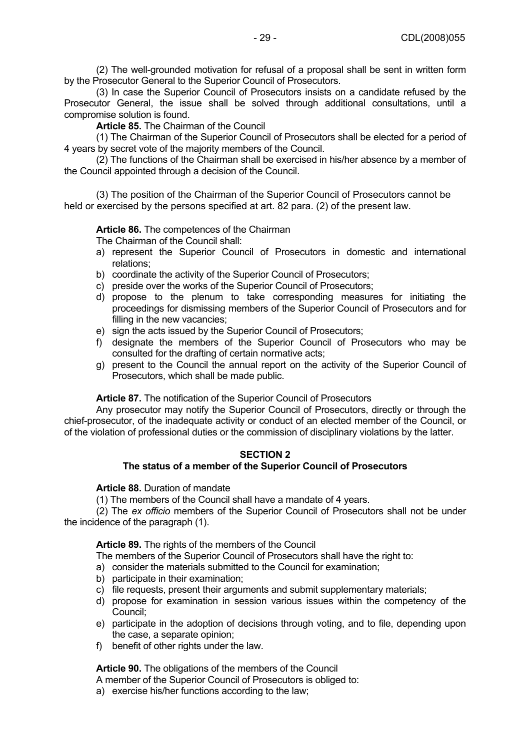(2) The well-grounded motivation for refusal of a proposal shall be sent in written form by the Prosecutor General to the Superior Council of Prosecutors.

(3) In case the Superior Council of Prosecutors insists on a candidate refused by the Prosecutor General, the issue shall be solved through additional consultations, until a compromise solution is found.

**Article 85.** The Chairman of the Council

(1) The Chairman of the Superior Council of Prosecutors shall be elected for a period of 4 years by secret vote of the majority members of the Council.

(2) The functions of the Chairman shall be exercised in his/her absence by a member of the Council appointed through a decision of the Council.

(3) The position of the Chairman of the Superior Council of Prosecutors cannot be held or exercised by the persons specified at art. 82 para. (2) of the present law.

## **Article 86.** The competences of the Chairman

The Chairman of the Council shall:

- a) represent the Superior Council of Prosecutors in domestic and international relations;
- b) coordinate the activity of the Superior Council of Prosecutors;
- c) preside over the works of the Superior Council of Prosecutors;
- d) propose to the plenum to take corresponding measures for initiating the proceedings for dismissing members of the Superior Council of Prosecutors and for filling in the new vacancies;
- e) sign the acts issued by the Superior Council of Prosecutors;
- f) designate the members of the Superior Council of Prosecutors who may be consulted for the drafting of certain normative acts;
- g) present to the Council the annual report on the activity of the Superior Council of Prosecutors, which shall be made public.

#### **Article 87.** The notification of the Superior Council of Prosecutors

Any prosecutor may notify the Superior Council of Prosecutors, directly or through the chief-prosecutor, of the inadequate activity or conduct of an elected member of the Council, or of the violation of professional duties or the commission of disciplinary violations by the latter.

#### **SECTION 2**

## **The status of a member of the Superior Council of Prosecutors**

**Article 88.** Duration of mandate

(1) The members of the Council shall have a mandate of 4 years.

(2) The *ex officio* members of the Superior Council of Prosecutors shall not be under the incidence of the paragraph (1).

**Article 89.** The rights of the members of the Council

The members of the Superior Council of Prosecutors shall have the right to:

- a) consider the materials submitted to the Council for examination;
- b) participate in their examination;
- c) file requests, present their arguments and submit supplementary materials;
- d) propose for examination in session various issues within the competency of the Council;
- e) participate in the adoption of decisions through voting, and to file, depending upon the case, a separate opinion;
- f) benefit of other rights under the law.

**Article 90.** The obligations of the members of the Council

A member of the Superior Council of Prosecutors is obliged to:

a) exercise his/her functions according to the law;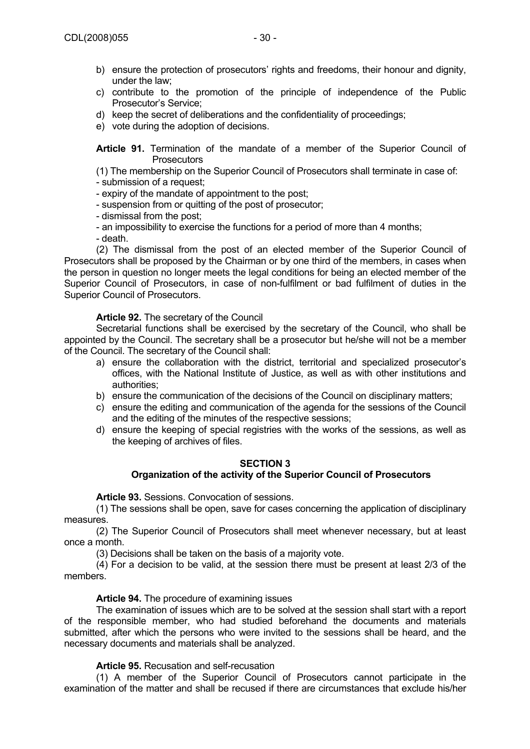- b) ensure the protection of prosecutors' rights and freedoms, their honour and dignity, under the law;
- c) contribute to the promotion of the principle of independence of the Public Prosecutor's Service;
- d) keep the secret of deliberations and the confidentiality of proceedings;
- e) vote during the adoption of decisions.

**Article 91.** Termination of the mandate of a member of the Superior Council of **Prosecutors** 

(1) The membership on the Superior Council of Prosecutors shall terminate in case of:

- submission of a request;

- expiry of the mandate of appointment to the post;
- suspension from or quitting of the post of prosecutor;
- dismissal from the post;
- an impossibility to exercise the functions for a period of more than 4 months;

- death.

(2) The dismissal from the post of an elected member of the Superior Council of Prosecutors shall be proposed by the Chairman or by one third of the members, in cases when the person in question no longer meets the legal conditions for being an elected member of the Superior Council of Prosecutors, in case of non-fulfilment or bad fulfilment of duties in the Superior Council of Prosecutors.

## **Article 92.** The secretary of the Council

Secretarial functions shall be exercised by the secretary of the Council, who shall be appointed by the Council. The secretary shall be a prosecutor but he/she will not be a member of the Council. The secretary of the Council shall:

- a) ensure the collaboration with the district, territorial and specialized prosecutor's offices, with the National Institute of Justice, as well as with other institutions and authorities;
- b) ensure the communication of the decisions of the Council on disciplinary matters;
- c) ensure the editing and communication of the agenda for the sessions of the Council and the editing of the minutes of the respective sessions;
- d) ensure the keeping of special registries with the works of the sessions, as well as the keeping of archives of files.

#### **SECTION 3**

#### **Organization of the activity of the Superior Council of Prosecutors**

**Article 93.** Sessions. Convocation of sessions.

(1) The sessions shall be open, save for cases concerning the application of disciplinary measures.

(2) The Superior Council of Prosecutors shall meet whenever necessary, but at least once a month.

(3) Decisions shall be taken on the basis of a majority vote.

(4) For a decision to be valid, at the session there must be present at least 2/3 of the members.

## **Article 94.** The procedure of examining issues

The examination of issues which are to be solved at the session shall start with a report of the responsible member, who had studied beforehand the documents and materials submitted, after which the persons who were invited to the sessions shall be heard, and the necessary documents and materials shall be analyzed.

## **Article 95.** Recusation and self-recusation

(1) A member of the Superior Council of Prosecutors cannot participate in the examination of the matter and shall be recused if there are circumstances that exclude his/her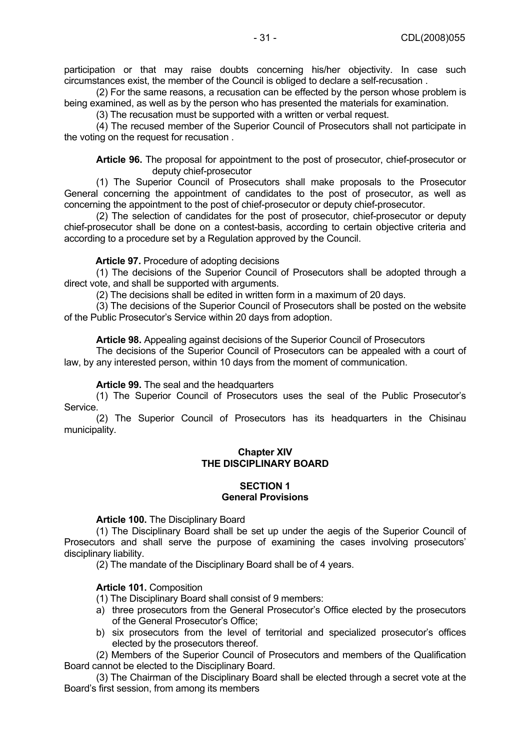participation or that may raise doubts concerning his/her objectivity. In case such circumstances exist, the member of the Council is obliged to declare a self-recusation .

(2) For the same reasons, a recusation can be effected by the person whose problem is being examined, as well as by the person who has presented the materials for examination.

(3) The recusation must be supported with a written or verbal request.

(4) The recused member of the Superior Council of Prosecutors shall not participate in the voting on the request for recusation .

**Article 96.** The proposal for appointment to the post of prosecutor, chief-prosecutor or deputy chief-prosecutor

(1) The Superior Council of Prosecutors shall make proposals to the Prosecutor General concerning the appointment of candidates to the post of prosecutor, as well as concerning the appointment to the post of chief-prosecutor or deputy chief-prosecutor.

(2) The selection of candidates for the post of prosecutor, chief-prosecutor or deputy chief-prosecutor shall be done on a contest-basis, according to certain objective criteria and according to a procedure set by a Regulation approved by the Council.

## **Article 97.** Procedure of adopting decisions

(1) The decisions of the Superior Council of Prosecutors shall be adopted through a direct vote, and shall be supported with arguments.

(2) The decisions shall be edited in written form in a maximum of 20 days.

(3) The decisions of the Superior Council of Prosecutors shall be posted on the website of the Public Prosecutor's Service within 20 days from adoption.

**Article 98.** Appealing against decisions of the Superior Council of Prosecutors

The decisions of the Superior Council of Prosecutors can be appealed with a court of law, by any interested person, within 10 days from the moment of communication.

#### **Article 99.** The seal and the headquarters

(1) The Superior Council of Prosecutors uses the seal of the Public Prosecutor's Service.

(2) The Superior Council of Prosecutors has its headquarters in the Chisinau municipality.

## **Chapter XIV THE DISCIPLINARY BOARD**

## **SECTION 1 General Provisions**

#### **Article 100.** The Disciplinary Board

(1) The Disciplinary Board shall be set up under the aegis of the Superior Council of Prosecutors and shall serve the purpose of examining the cases involving prosecutors' disciplinary liability.

(2) The mandate of the Disciplinary Board shall be of 4 years.

## **Article 101.** Composition

(1) The Disciplinary Board shall consist of 9 members:

- a) three prosecutors from the General Prosecutor's Office elected by the prosecutors of the General Prosecutor's Office;
- b) six prosecutors from the level of territorial and specialized prosecutor's offices elected by the prosecutors thereof.

(2) Members of the Superior Council of Prosecutors and members of the Qualification Board cannot be elected to the Disciplinary Board.

(3) The Chairman of the Disciplinary Board shall be elected through a secret vote at the Board's first session, from among its members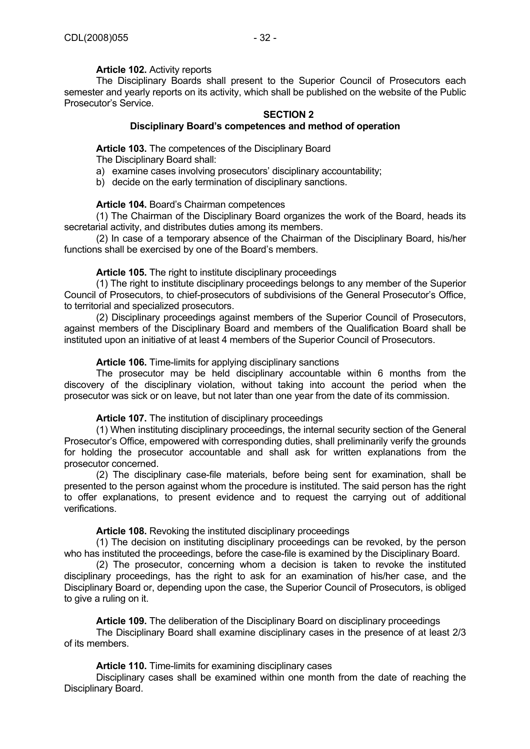## **Article 102.** Activity reports

The Disciplinary Boards shall present to the Superior Council of Prosecutors each semester and yearly reports on its activity, which shall be published on the website of the Public Prosecutor's Service.

# **SECTION 2**

## **Disciplinary Board's competences and method of operation**

## **Article 103.** The competences of the Disciplinary Board

The Disciplinary Board shall:

- a) examine cases involving prosecutors' disciplinary accountability;
- b) decide on the early termination of disciplinary sanctions.

## **Article 104.** Board's Chairman competences

(1) The Chairman of the Disciplinary Board organizes the work of the Board, heads its secretarial activity, and distributes duties among its members.

(2) In case of a temporary absence of the Chairman of the Disciplinary Board, his/her functions shall be exercised by one of the Board's members.

#### **Article 105.** The right to institute disciplinary proceedings

(1) The right to institute disciplinary proceedings belongs to any member of the Superior Council of Prosecutors, to chief-prosecutors of subdivisions of the General Prosecutor's Office, to territorial and specialized prosecutors.

(2) Disciplinary proceedings against members of the Superior Council of Prosecutors, against members of the Disciplinary Board and members of the Qualification Board shall be instituted upon an initiative of at least 4 members of the Superior Council of Prosecutors.

## **Article 106.** Time-limits for applying disciplinary sanctions

The prosecutor may be held disciplinary accountable within 6 months from the discovery of the disciplinary violation, without taking into account the period when the prosecutor was sick or on leave, but not later than one year from the date of its commission.

#### **Article 107.** The institution of disciplinary proceedings

(1) When instituting disciplinary proceedings, the internal security section of the General Prosecutor's Office, empowered with corresponding duties, shall preliminarily verify the grounds for holding the prosecutor accountable and shall ask for written explanations from the prosecutor concerned.

(2) The disciplinary case-file materials, before being sent for examination, shall be presented to the person against whom the procedure is instituted. The said person has the right to offer explanations, to present evidence and to request the carrying out of additional verifications.

## **Article 108.** Revoking the instituted disciplinary proceedings

(1) The decision on instituting disciplinary proceedings can be revoked, by the person who has instituted the proceedings, before the case-file is examined by the Disciplinary Board.

(2) The prosecutor, concerning whom a decision is taken to revoke the instituted disciplinary proceedings, has the right to ask for an examination of his/her case, and the Disciplinary Board or, depending upon the case, the Superior Council of Prosecutors, is obliged to give a ruling on it.

#### **Article 109.** The deliberation of the Disciplinary Board on disciplinary proceedings

The Disciplinary Board shall examine disciplinary cases in the presence of at least 2/3 of its members.

## **Article 110.** Time-limits for examining disciplinary cases

Disciplinary cases shall be examined within one month from the date of reaching the Disciplinary Board.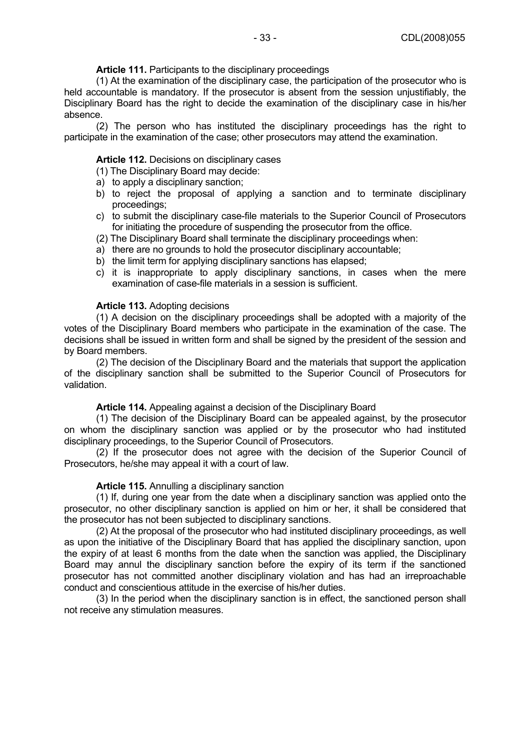#### **Article 111.** Participants to the disciplinary proceedings

(1) At the examination of the disciplinary case, the participation of the prosecutor who is held accountable is mandatory. If the prosecutor is absent from the session unjustifiably, the Disciplinary Board has the right to decide the examination of the disciplinary case in his/her absence.

(2) The person who has instituted the disciplinary proceedings has the right to participate in the examination of the case; other prosecutors may attend the examination.

#### **Article 112.** Decisions on disciplinary cases

- (1) The Disciplinary Board may decide:
- a) to apply a disciplinary sanction;
- b) to reject the proposal of applying a sanction and to terminate disciplinary proceedings;
- c) to submit the disciplinary case-file materials to the Superior Council of Prosecutors for initiating the procedure of suspending the prosecutor from the office.
- (2) The Disciplinary Board shall terminate the disciplinary proceedings when:
- a) there are no grounds to hold the prosecutor disciplinary accountable;
- b) the limit term for applying disciplinary sanctions has elapsed;
- c) it is inappropriate to apply disciplinary sanctions, in cases when the mere examination of case-file materials in a session is sufficient.

#### **Article 113.** Adopting decisions

(1) A decision on the disciplinary proceedings shall be adopted with a majority of the votes of the Disciplinary Board members who participate in the examination of the case. The decisions shall be issued in written form and shall be signed by the president of the session and by Board members.

(2) The decision of the Disciplinary Board and the materials that support the application of the disciplinary sanction shall be submitted to the Superior Council of Prosecutors for validation.

#### **Article 114.** Appealing against a decision of the Disciplinary Board

(1) The decision of the Disciplinary Board can be appealed against, by the prosecutor on whom the disciplinary sanction was applied or by the prosecutor who had instituted disciplinary proceedings, to the Superior Council of Prosecutors.

(2) If the prosecutor does not agree with the decision of the Superior Council of Prosecutors, he/she may appeal it with a court of law.

#### **Article 115.** Annulling a disciplinary sanction

(1) If, during one year from the date when a disciplinary sanction was applied onto the prosecutor, no other disciplinary sanction is applied on him or her, it shall be considered that the prosecutor has not been subjected to disciplinary sanctions.

(2) At the proposal of the prosecutor who had instituted disciplinary proceedings, as well as upon the initiative of the Disciplinary Board that has applied the disciplinary sanction, upon the expiry of at least 6 months from the date when the sanction was applied, the Disciplinary Board may annul the disciplinary sanction before the expiry of its term if the sanctioned prosecutor has not committed another disciplinary violation and has had an irreproachable conduct and conscientious attitude in the exercise of his/her duties.

(3) In the period when the disciplinary sanction is in effect, the sanctioned person shall not receive any stimulation measures.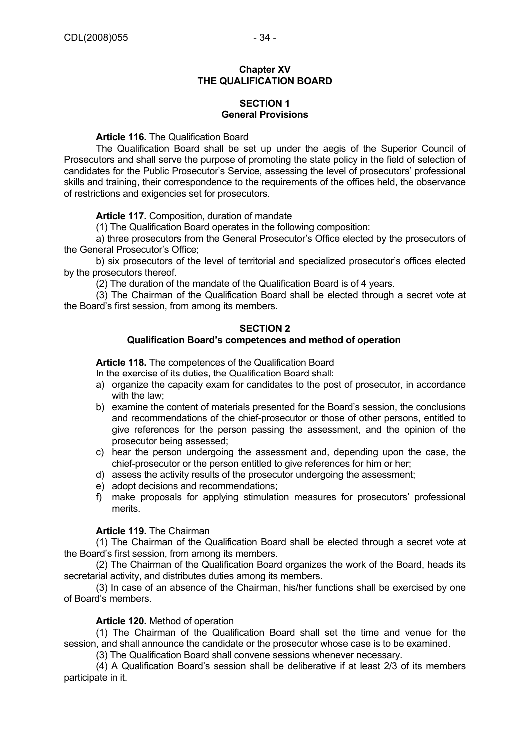#### **Chapter XV THE QUALIFICATION BOARD**

## **SECTION 1 General Provisions**

**Article 116.** The Qualification Board

The Qualification Board shall be set up under the aegis of the Superior Council of Prosecutors and shall serve the purpose of promoting the state policy in the field of selection of candidates for the Public Prosecutor's Service, assessing the level of prosecutors' professional skills and training, their correspondence to the requirements of the offices held, the observance of restrictions and exigencies set for prosecutors.

**Article 117.** Composition, duration of mandate

(1) The Qualification Board operates in the following composition:

a) three prosecutors from the General Prosecutor's Office elected by the prosecutors of the General Prosecutor's Office;

b) six prosecutors of the level of territorial and specialized prosecutor's offices elected by the prosecutors thereof.

(2) The duration of the mandate of the Qualification Board is of 4 years.

(3) The Chairman of the Qualification Board shall be elected through a secret vote at the Board's first session, from among its members.

## **SECTION 2**

## **Qualification Board's competences and method of operation**

**Article 118.** The competences of the Qualification Board

- In the exercise of its duties, the Qualification Board shall:
- a) organize the capacity exam for candidates to the post of prosecutor, in accordance with the law;
- b) examine the content of materials presented for the Board's session, the conclusions and recommendations of the chief-prosecutor or those of other persons, entitled to give references for the person passing the assessment, and the opinion of the prosecutor being assessed;
- c) hear the person undergoing the assessment and, depending upon the case, the chief-prosecutor or the person entitled to give references for him or her;
- d) assess the activity results of the prosecutor undergoing the assessment;
- e) adopt decisions and recommendations;
- f) make proposals for applying stimulation measures for prosecutors' professional merits.

## **Article 119.** The Chairman

(1) The Chairman of the Qualification Board shall be elected through a secret vote at the Board's first session, from among its members.

(2) The Chairman of the Qualification Board organizes the work of the Board, heads its secretarial activity, and distributes duties among its members.

(3) In case of an absence of the Chairman, his/her functions shall be exercised by one of Board's members.

#### **Article 120.** Method of operation

(1) The Chairman of the Qualification Board shall set the time and venue for the session, and shall announce the candidate or the prosecutor whose case is to be examined.

(3) The Qualification Board shall convene sessions whenever necessary.

(4) A Qualification Board's session shall be deliberative if at least 2/3 of its members participate in it.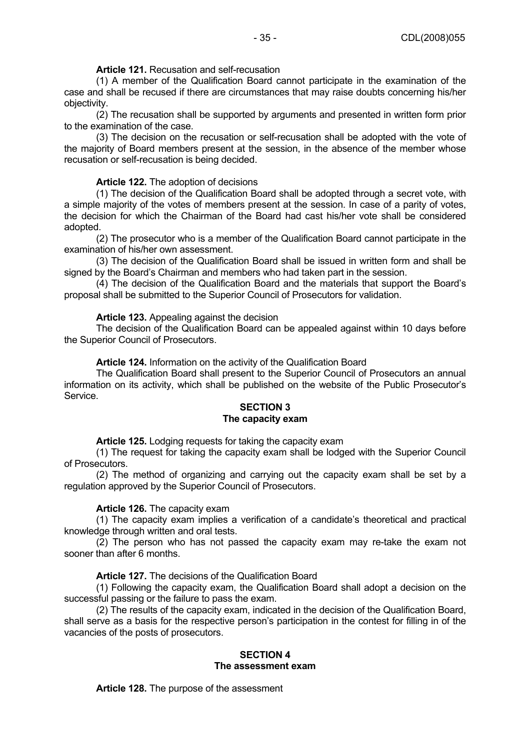**Article 121.** Recusation and self-recusation

(1) A member of the Qualification Board cannot participate in the examination of the case and shall be recused if there are circumstances that may raise doubts concerning his/her objectivity.

(2) The recusation shall be supported by arguments and presented in written form prior to the examination of the case.

(3) The decision on the recusation or self-recusation shall be adopted with the vote of the majority of Board members present at the session, in the absence of the member whose recusation or self-recusation is being decided.

## **Article 122.** The adoption of decisions

(1) The decision of the Qualification Board shall be adopted through a secret vote, with a simple majority of the votes of members present at the session. In case of a parity of votes, the decision for which the Chairman of the Board had cast his/her vote shall be considered adopted.

(2) The prosecutor who is a member of the Qualification Board cannot participate in the examination of his/her own assessment.

(3) The decision of the Qualification Board shall be issued in written form and shall be signed by the Board's Chairman and members who had taken part in the session.

(4) The decision of the Qualification Board and the materials that support the Board's proposal shall be submitted to the Superior Council of Prosecutors for validation.

## **Article 123.** Appealing against the decision

The decision of the Qualification Board can be appealed against within 10 days before the Superior Council of Prosecutors.

**Article 124.** Information on the activity of the Qualification Board

The Qualification Board shall present to the Superior Council of Prosecutors an annual information on its activity, which shall be published on the website of the Public Prosecutor's **Service** 

## **SECTION 3 The capacity exam**

**Article 125.** Lodging requests for taking the capacity exam

(1) The request for taking the capacity exam shall be lodged with the Superior Council of Prosecutors.

(2) The method of organizing and carrying out the capacity exam shall be set by a regulation approved by the Superior Council of Prosecutors.

#### **Article 126.** The capacity exam

(1) The capacity exam implies a verification of a candidate's theoretical and practical knowledge through written and oral tests.

(2) The person who has not passed the capacity exam may re-take the exam not sooner than after 6 months.

#### **Article 127.** The decisions of the Qualification Board

(1) Following the capacity exam, the Qualification Board shall adopt a decision on the successful passing or the failure to pass the exam.

(2) The results of the capacity exam, indicated in the decision of the Qualification Board, shall serve as a basis for the respective person's participation in the contest for filling in of the vacancies of the posts of prosecutors.

#### **SECTION 4 The assessment exam**

**Article 128.** The purpose of the assessment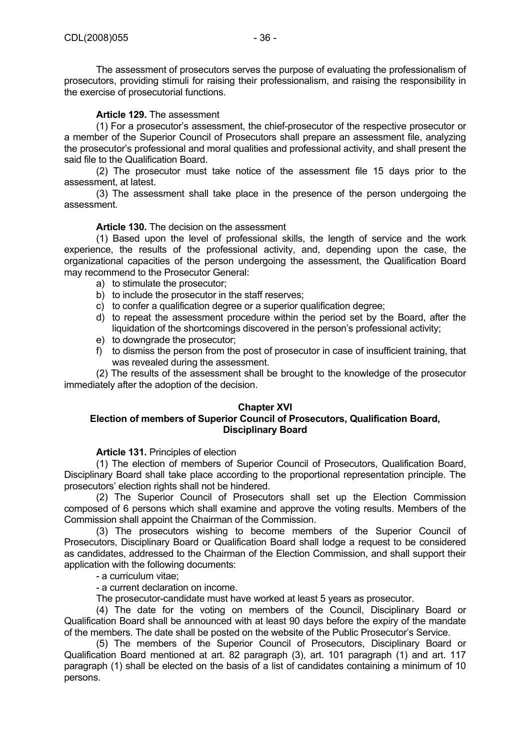The assessment of prosecutors serves the purpose of evaluating the professionalism of prosecutors, providing stimuli for raising their professionalism, and raising the responsibility in the exercise of prosecutorial functions.

## **Article 129.** The assessment

(1) For a prosecutor's assessment, the chief-prosecutor of the respective prosecutor or a member of the Superior Council of Prosecutors shall prepare an assessment file, analyzing the prosecutor's professional and moral qualities and professional activity, and shall present the said file to the Qualification Board.

(2) The prosecutor must take notice of the assessment file 15 days prior to the assessment, at latest.

(3) The assessment shall take place in the presence of the person undergoing the assessment.

## **Article 130.** The decision on the assessment

(1) Based upon the level of professional skills, the length of service and the work experience, the results of the professional activity, and, depending upon the case, the organizational capacities of the person undergoing the assessment, the Qualification Board may recommend to the Prosecutor General:

- a) to stimulate the prosecutor;
- b) to include the prosecutor in the staff reserves;
- c) to confer a qualification degree or a superior qualification degree;
- d) to repeat the assessment procedure within the period set by the Board, after the liquidation of the shortcomings discovered in the person's professional activity;
- e) to downgrade the prosecutor;
- f) to dismiss the person from the post of prosecutor in case of insufficient training, that was revealed during the assessment.

(2) The results of the assessment shall be brought to the knowledge of the prosecutor immediately after the adoption of the decision.

#### **Chapter XVI**

## **Election of members of Superior Council of Prosecutors, Qualification Board, Disciplinary Board**

**Article 131.** Principles of election

(1) The election of members of Superior Council of Prosecutors, Qualification Board, Disciplinary Board shall take place according to the proportional representation principle. The prosecutors' election rights shall not be hindered.

(2) The Superior Council of Prosecutors shall set up the Election Commission composed of 6 persons which shall examine and approve the voting results. Members of the Commission shall appoint the Chairman of the Commission.

(3) The prosecutors wishing to become members of the Superior Council of Prosecutors, Disciplinary Board or Qualification Board shall lodge a request to be considered as candidates, addressed to the Chairman of the Election Commission, and shall support their application with the following documents:

- a curriculum vitae;

- a current declaration on income.

The prosecutor-candidate must have worked at least 5 years as prosecutor.

(4) The date for the voting on members of the Council, Disciplinary Board or Qualification Board shall be announced with at least 90 days before the expiry of the mandate of the members. The date shall be posted on the website of the Public Prosecutor's Service.

(5) The members of the Superior Council of Prosecutors, Disciplinary Board or Qualification Board mentioned at art. 82 paragraph (3), art. 101 paragraph (1) and art. 117 paragraph (1) shall be elected on the basis of a list of candidates containing a minimum of 10 persons.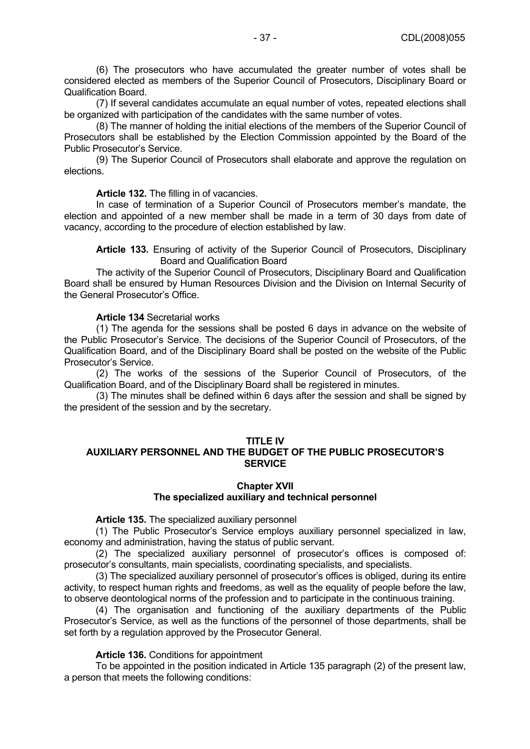(6) The prosecutors who have accumulated the greater number of votes shall be considered elected as members of the Superior Council of Prosecutors, Disciplinary Board or Qualification Board.

(7) If several candidates accumulate an equal number of votes, repeated elections shall be organized with participation of the candidates with the same number of votes.

(8) The manner of holding the initial elections of the members of the Superior Council of Prosecutors shall be established by the Election Commission appointed by the Board of the Public Prosecutor's Service.

(9) The Superior Council of Prosecutors shall elaborate and approve the regulation on elections.

**Article 132.** The filling in of vacancies.

In case of termination of a Superior Council of Prosecutors member's mandate, the election and appointed of a new member shall be made in a term of 30 days from date of vacancy, according to the procedure of election established by law.

**Article 133.** Ensuring of activity of the Superior Council of Prosecutors, Disciplinary Board and Qualification Board

The activity of the Superior Council of Prosecutors, Disciplinary Board and Qualification Board shall be ensured by Human Resources Division and the Division on Internal Security of the General Prosecutor's Office.

## **Article 134** Secretarial works

(1) The agenda for the sessions shall be posted 6 days in advance on the website of the Public Prosecutor's Service. The decisions of the Superior Council of Prosecutors, of the Qualification Board, and of the Disciplinary Board shall be posted on the website of the Public Prosecutor's Service.

(2) The works of the sessions of the Superior Council of Prosecutors, of the Qualification Board, and of the Disciplinary Board shall be registered in minutes.

(3) The minutes shall be defined within 6 days after the session and shall be signed by the president of the session and by the secretary.

#### **TITLE IV**

## **AUXILIARY PERSONNEL AND THE BUDGET OF THE PUBLIC PROSECUTOR'S SERVICE**

#### **Chapter XVII The specialized auxiliary and technical personnel**

#### **Article 135.** The specialized auxiliary personnel

 (1) The Public Prosecutor's Service employs auxiliary personnel specialized in law, economy and administration, having the status of public servant.

 (2) The specialized auxiliary personnel of prosecutor's offices is composed of: prosecutor's consultants, main specialists, coordinating specialists, and specialists.

 (3) The specialized auxiliary personnel of prosecutor's offices is obliged, during its entire activity, to respect human rights and freedoms, as well as the equality of people before the law, to observe deontological norms of the profession and to participate in the continuous training.

 (4) The organisation and functioning of the auxiliary departments of the Public Prosecutor's Service, as well as the functions of the personnel of those departments, shall be set forth by a regulation approved by the Prosecutor General.

#### **Article 136.** Conditions for appointment

 To be appointed in the position indicated in Article 135 paragraph (2) of the present law, a person that meets the following conditions: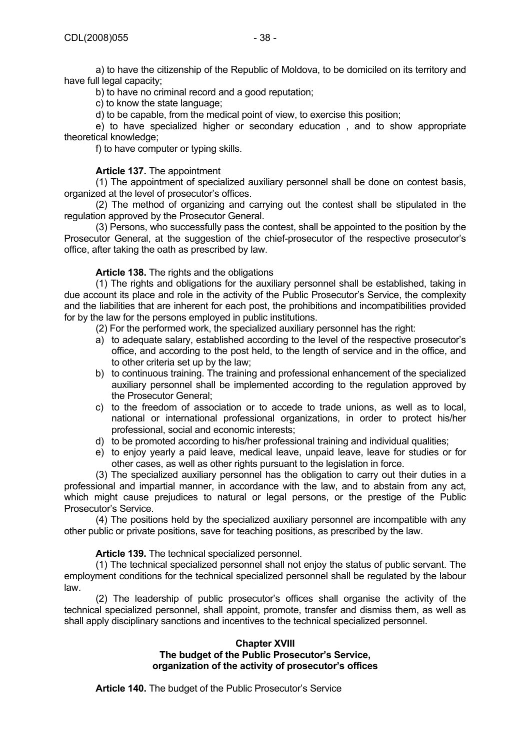a) to have the citizenship of the Republic of Moldova, to be domiciled on its territory and have full legal capacity;

b) to have no criminal record and a good reputation;

c) to know the state language;

d) to be capable, from the medical point of view, to exercise this position;

 e) to have specialized higher or secondary education , and to show appropriate theoretical knowledge;

f) to have computer or typing skills.

## **Article 137.** The appointment

 (1) The appointment of specialized auxiliary personnel shall be done on contest basis, organized at the level of prosecutor's offices.

 (2) The method of organizing and carrying out the contest shall be stipulated in the regulation approved by the Prosecutor General.

 (3) Persons, who successfully pass the contest, shall be appointed to the position by the Prosecutor General, at the suggestion of the chief-prosecutor of the respective prosecutor's office, after taking the oath as prescribed by law.

## **Article 138.** The rights and the obligations

 (1) The rights and obligations for the auxiliary personnel shall be established, taking in due account its place and role in the activity of the Public Prosecutor's Service, the complexity and the liabilities that are inherent for each post, the prohibitions and incompatibilities provided for by the law for the persons employed in public institutions.

(2) For the performed work, the specialized auxiliary personnel has the right:

- a) to adequate salary, established according to the level of the respective prosecutor's office, and according to the post held, to the length of service and in the office, and to other criteria set up by the law;
- b) to continuous training. The training and professional enhancement of the specialized auxiliary personnel shall be implemented according to the regulation approved by the Prosecutor General;
- c) to the freedom of association or to accede to trade unions, as well as to local, national or international professional organizations, in order to protect his/her professional, social and economic interests;
- d) to be promoted according to his/her professional training and individual qualities;
- e) to enjoy yearly a paid leave, medical leave, unpaid leave, leave for studies or for other cases, as well as other rights pursuant to the legislation in force.

 (3) The specialized auxiliary personnel has the obligation to carry out their duties in a professional and impartial manner, in accordance with the law, and to abstain from any act, which might cause prejudices to natural or legal persons, or the prestige of the Public Prosecutor's Service.

 (4) The positions held by the specialized auxiliary personnel are incompatible with any other public or private positions, save for teaching positions, as prescribed by the law.

#### **Article 139.** The technical specialized personnel.

 (1) The technical specialized personnel shall not enjoy the status of public servant. The employment conditions for the technical specialized personnel shall be regulated by the labour law.

 (2) The leadership of public prosecutor's offices shall organise the activity of the technical specialized personnel, shall appoint, promote, transfer and dismiss them, as well as shall apply disciplinary sanctions and incentives to the technical specialized personnel.

#### **Chapter XVIII The budget of the Public Prosecutor's Service, organization of the activity of prosecutor's offices**

**Article 140.** The budget of the Public Prosecutor's Service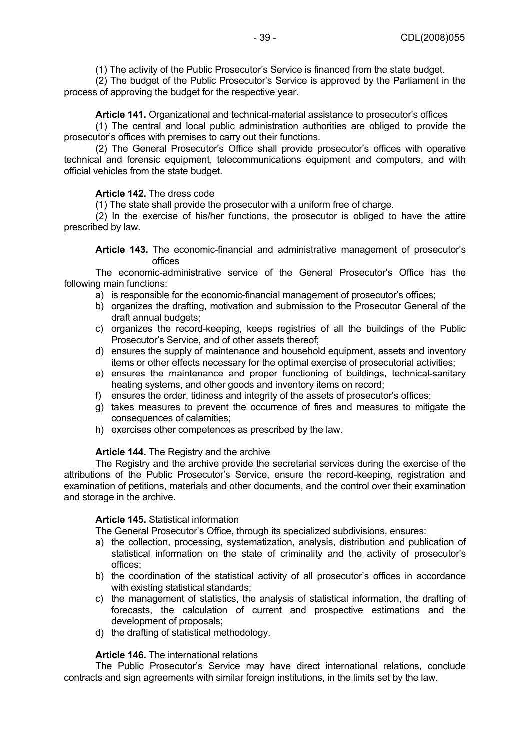(1) The activity of the Public Prosecutor's Service is financed from the state budget.

 (2) The budget of the Public Prosecutor's Service is approved by the Parliament in the process of approving the budget for the respective year.

## **Article 141.** Organizational and technical-material assistance to prosecutor's offices

 (1) The central and local public administration authorities are obliged to provide the prosecutor's offices with premises to carry out their functions.

 (2) The General Prosecutor's Office shall provide prosecutor's offices with operative technical and forensic equipment, telecommunications equipment and computers, and with official vehicles from the state budget.

## **Article 142.** The dress code

(1) The state shall provide the prosecutor with a uniform free of charge.

 (2) In the exercise of his/her functions, the prosecutor is obliged to have the attire prescribed by law.

**Article 143.** The economic-financial and administrative management of prosecutor's offices

 The economic-administrative service of the General Prosecutor's Office has the following main functions:

- a) is responsible for the economic-financial management of prosecutor's offices;
- b) organizes the drafting, motivation and submission to the Prosecutor General of the draft annual budgets;
- c) organizes the record-keeping, keeps registries of all the buildings of the Public Prosecutor's Service, and of other assets thereof;
- d) ensures the supply of maintenance and household equipment, assets and inventory items or other effects necessary for the optimal exercise of prosecutorial activities;
- e) ensures the maintenance and proper functioning of buildings, technical-sanitary heating systems, and other goods and inventory items on record;
- f) ensures the order, tidiness and integrity of the assets of prosecutor's offices;
- g) takes measures to prevent the occurrence of fires and measures to mitigate the consequences of calamities;
- h) exercises other competences as prescribed by the law.

#### **Article 144.** The Registry and the archive

 The Registry and the archive provide the secretarial services during the exercise of the attributions of the Public Prosecutor's Service, ensure the record-keeping, registration and examination of petitions, materials and other documents, and the control over their examination and storage in the archive.

#### **Article 145.** Statistical information

The General Prosecutor's Office, through its specialized subdivisions, ensures:

- a) the collection, processing, systematization, analysis, distribution and publication of statistical information on the state of criminality and the activity of prosecutor's offices;
- b) the coordination of the statistical activity of all prosecutor's offices in accordance with existing statistical standards;
- c) the management of statistics, the analysis of statistical information, the drafting of forecasts, the calculation of current and prospective estimations and the development of proposals;
- d) the drafting of statistical methodology.

#### **Article 146.** The international relations

 The Public Prosecutor's Service may have direct international relations, conclude contracts and sign agreements with similar foreign institutions, in the limits set by the law.